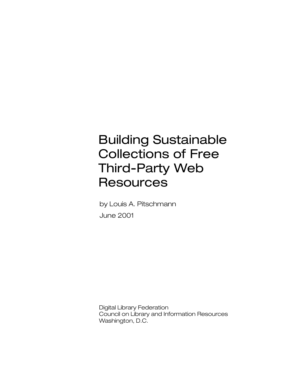# Building Sustainable Collections of Free Third-Party Web **Resources**

by Louis A. Pitschmann June 2001

Digital Library Federation Council on Library and Information Resources Washington, D.C.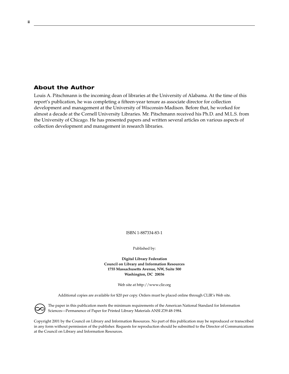## **About the Author**

 $\infty$ 

Louis A. Pitschmann is the incoming dean of libraries at the University of Alabama. At the time of this report's publication, he was completing a fifteen-year tenure as associate director for collection development and management at the University of Wisconsin-Madison. Before that, he worked for almost a decade at the Cornell University Libraries. Mr. Pitschmann received his Ph.D. and M.L.S. from the University of Chicago. He has presented papers and written several articles on various aspects of collection development and management in research libraries.

ISBN 1-887334-83-1

Published by:

**Digital Library Federation Council on Library and Information Resources 1755 Massachusetts Avenue, NW, Suite 500 Washington, DC 20036**

Web site at http://www.clir.org

Additional copies are available for \$20 per copy. Orders must be placed online through CLIR's Web site.

The paper in this publication meets the minimum requirements of the American National Standard for Information Sciences—Permanence of Paper for Printed Library Materials ANSI Z39.48-1984.

Copyright 2001 by the Council on Library and Information Resources. No part of this publication may be reproduced or transcribed in any form without permission of the publisher. Requests for reproduction should be submitted to the Director of Communications at the Council on Library and Information Resources.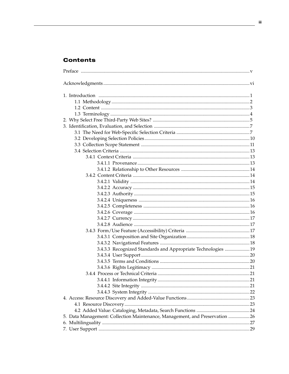# **Contents**

| 3.4.3.3 Recognized Standards and Appropriate Technologies  19               |  |
|-----------------------------------------------------------------------------|--|
|                                                                             |  |
|                                                                             |  |
|                                                                             |  |
|                                                                             |  |
|                                                                             |  |
|                                                                             |  |
|                                                                             |  |
|                                                                             |  |
|                                                                             |  |
|                                                                             |  |
| 5. Data Management: Collection Maintenance, Management, and Preservation 26 |  |
|                                                                             |  |
|                                                                             |  |
|                                                                             |  |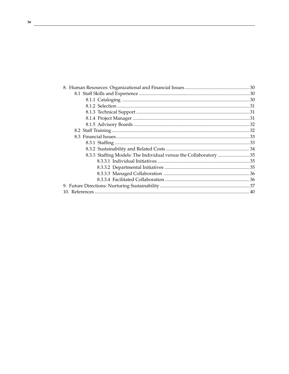| 8.3.3 Staffing Models: The Individual versus the Collaboratory 35 |  |
|-------------------------------------------------------------------|--|
|                                                                   |  |
|                                                                   |  |
|                                                                   |  |
|                                                                   |  |
|                                                                   |  |
|                                                                   |  |
|                                                                   |  |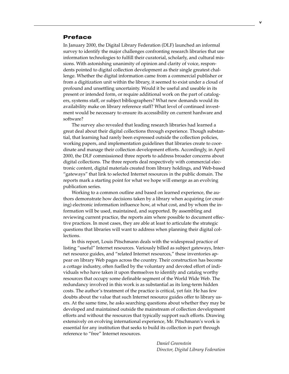## **Preface**

In January 2000, the Digital Library Federation (DLF) launched an informal survey to identify the major challenges confronting research libraries that use information technologies to fulfill their curatorial, scholarly, and cultural missions. With astonishing unanimity of opinion and clarity of voice, respondents pointed to digital collection development as their single greatest challenge. Whether the digital information came from a commercial publisher or from a digitization unit within the library, it seemed to exist under a cloud of profound and unsettling uncertainty. Would it be useful and useable in its present or intended form, or require additional work on the part of catalogers, systems staff, or subject bibliographers? What new demands would its availability make on library reference staff? What level of continued investment would be necessary to ensure its accessibility on current hardware and software?

The survey also revealed that leading research libraries had learned a great deal about their digital collections through experience. Though substantial, that learning had rarely been expressed outside the collection policies, working papers, and implementation guidelines that libraries create to coordinate and manage their collection development efforts. Accordingly, in April 2000, the DLF commissioned three reports to address broader concerns about digital collections. The three reports deal respectively with commercial electronic content, digital materials created from library holdings, and Web-based "gateways" that link to selected Internet resources in the public domain. The reports mark a starting point for what we hope will emerge as an evolving publication series.

Working to a common outline and based on learned experience, the authors demonstrate how decisions taken by a library when acquiring (or creating) electronic information influence how, at what cost, and by whom the information will be used, maintained, and supported. By assembling and reviewing current practice, the reports aim where possible to document effective practices. In most cases, they are able at least to articulate the strategic questions that libraries will want to address when planning their digital collections.

In this report, Louis Pitschmann deals with the widespread practice of listing "useful" Internet resources. Variously billed as subject gateways, Internet resource guides, and "related Internet resources," these inventories appear on library Web pages across the country. Their construction has become a cottage industry, often fuelled by the voluntary and devoted effort of individuals who have taken it upon themselves to identify and catalog worthy resources that occupy some definable segment of the World Wide Web. The redundancy involved in this work is as substantial as its long-term hidden costs. The author's treatment of the practice is critical, yet fair. He has few doubts about the value that such Internet resource guides offer to library users. At the same time, he asks searching questions about whether they may be developed and maintained outside the mainstream of collection development efforts and without the resources that typically support such efforts. Drawing extensively on evolving international experience, Mr. Pitschmann's work is essential for any institution that seeks to build its collection in part through reference to "free" Internet resources.

> *Daniel Greenstein Director, Digital Library Federation*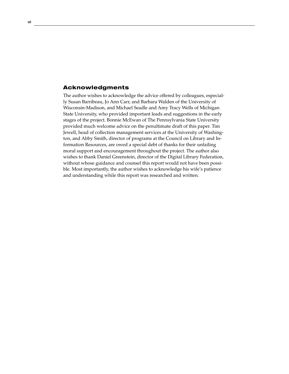## **Acknowledgments**

The author wishes to acknowledge the advice offered by colleagues, especially Susan Barribeau, Jo Ann Carr, and Barbara Walden of the University of Wisconsin-Madison, and Michael Seadle and Amy Tracy Wells of Michigan State University, who provided important leads and suggestions in the early stages of the project. Bonnie McEwan of The Pennsylvania State University provided much welcome advice on the penultimate draft of this paper. Tim Jewell, head of collection management services at the University of Washington, and Abby Smith, director of programs at the Council on Library and Information Resources, are owed a special debt of thanks for their unfailing moral support and encouragement throughout the project. The author also wishes to thank Daniel Greenstein, director of the Digital Library Federation, without whose guidance and counsel this report would not have been possible. Most importantly, the author wishes to acknowledge his wife's patience and understanding while this report was researched and written.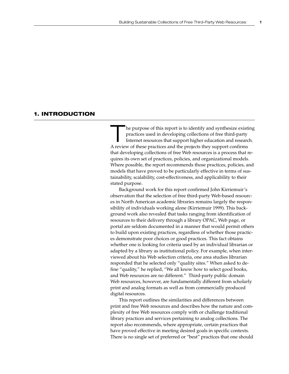## **1. INTRODUCTION**

The purpose of this report is to identify and synthesize existing<br>practices used in developing collections of free third-party<br>Internet resources that support higher education and research.<br>A review of these practices and practices used in developing collections of free third-party Internet resources that support higher education and research. A review of these practices and the projects they support confirms that developing collections of free Web resources is a process that requires its own set of practices, policies, and organizational models. Where possible, the report recommends those practices, policies, and models that have proved to be particularly effective in terms of sustainability, scalability, cost-effectiveness, and applicability to their stated purpose.

Background work for this report confirmed John Kirriemuir's observation that the selection of free third-party Web-based resources in North American academic libraries remains largely the responsibility of individuals working alone (Kirriemuir 1999). This background work also revealed that tasks ranging from identification of resources to their delivery through a library OPAC, Web page, or portal are seldom documented in a manner that would permit others to build upon existing practices, regardless of whether those practices demonstrate poor choices or good practices. This fact obtains whether one is looking for criteria used by an individual librarian or adapted by a library as institutional policy. For example, when interviewed about his Web selection criteria, one area studies librarian responded that he selected only "quality sites." When asked to define "quality," he replied, "We all know how to select good books, and Web resources are no different." Third-party public domain Web resources, however, are fundamentally different from scholarly print and analog formats as well as from commercially produced digital resources.

This report outlines the similarities and differences between print and free Web resources and describes how the nature and complexity of free Web resources comply with or challenge traditional library practices and services pertaining to analog collections. The report also recommends, where appropriate, certain practices that have proved effective in meeting desired goals in specific contexts. There is no single set of preferred or "best" practices that one should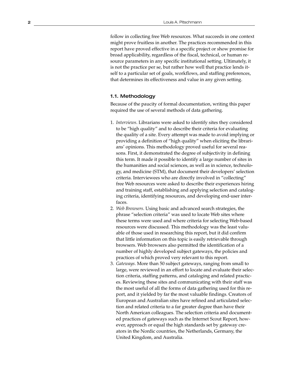follow in collecting free Web resources. What succeeds in one context might prove fruitless in another. The practices recommended in this report have proved effective in a specific project or show promise for broad applicability, regardless of the fiscal, technical, or human resource parameters in any specific institutional setting. Ultimately, it is not the practice per se, but rather how well that practice lends itself to a particular set of goals, workflows, and staffing preferences, that determines its effectiveness and value in any given setting.

## 1.1. Methodology

Because of the paucity of formal documentation, writing this paper required the use of several methods of data gathering.

- 1. *Interviews*. Librarians were asked to identify sites they considered to be "high quality" and to describe their criteria for evaluating the quality of a site. Every attempt was made to avoid implying or providing a definition of "high quality" when eliciting the librarians' opinions. This methodology proved useful for several reasons. First, it demonstrated the degree of subjectivity in defining this term. It made it possible to identify a large number of sites in the humanities and social sciences, as well as in science, technology, and medicine (STM), that document their developers' selection criteria. Interviewees who are directly involved in "collecting" free Web resources were asked to describe their experiences hiring and training staff, establishing and applying selection and cataloging criteria, identifying resources, and developing end-user interfaces.
- 2. *Web Browsers*. Using basic and advanced search strategies, the phrase "selection criteria" was used to locate Web sites where these terms were used and where criteria for selecting Web-based resources were discussed. This methodology was the least valuable of those used in researching this report, but it did confirm that little information on this topic is easily retrievable through browsers. Web browsers also permitted the identification of a number of highly developed subject gateways, the policies and practices of which proved very relevant to this report.
- 3. *Gateways*. More than 50 subject gateways, ranging from small to large, were reviewed in an effort to locate and evaluate their selection criteria, staffing patterns, and cataloging and related practices. Reviewing these sites and communicating with their staff was the most useful of all the forms of data gathering used for this report, and it yielded by far the most valuable findings. Creators of European and Australian sites have refined and articulated selection and related criteria to a far greater degree than have their North American colleagues. The selection criteria and documented practices of gateways such as the Internet Scout Report, however, approach or equal the high standards set by gateway creators in the Nordic countries, the Netherlands, Germany, the United Kingdom, and Australia.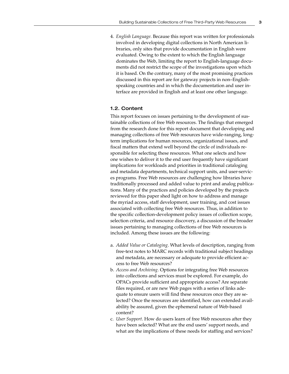4. *English Language*. Because this report was written for professionals involved in developing digital collections in North American libraries, only sites that provide documentation in English were evaluated. Owing to the extent to which the English language dominates the Web, limiting the report to English-language documents did not restrict the scope of the investigations upon which it is based. On the contrary, many of the most promising practices discussed in this report are for gateway projects in non–Englishspeaking countries and in which the documentation and user interface are provided in English and at least one other language.

#### 1.2. Content

This report focuses on issues pertaining to the development of sustainable collections of free Web resources. The findings that emerged from the research done for this report document that developing and managing collections of free Web resources have wide-ranging, longterm implications for human resources, organizational issues, and fiscal matters that extend well beyond the circle of individuals responsible for selecting these resources. What one selects and how one wishes to deliver it to the end user frequently have significant implications for workloads and priorities in traditional cataloging and metadata departments, technical support units, and user-services programs. Free Web resources are challenging how libraries have traditionally processed and added value to print and analog publications. Many of the practices and policies developed by the projects reviewed for this paper shed light on how to address and manage the myriad access, staff development, user training, and cost issues associated with collecting free Web resources. Thus, in addition to the specific collection-development policy issues of collection scope, selection criteria, and resource discovery, a discussion of the broader issues pertaining to managing collections of free Web resources is included. Among these issues are the following:

- a. *Added Value or Cataloging*. What levels of description, ranging from free-text notes to MARC records with traditional subject headings and metadata, are necessary or adequate to provide efficient access to free Web resources?
- b. *Access and Archiving*. Options for integrating free Web resources into collections and services must be explored. For example, do OPACs provide sufficient and appropriate access? Are separate files required, or are new Web pages with a series of links adequate to ensure users will find these resources once they are selected? Once the resources are identified, how can extended availability be assured, given the ephemeral nature of Web-based content?
- c. *User Support*. How do users learn of free Web resources after they have been selected? What are the end users' support needs, and what are the implications of these needs for staffing and services?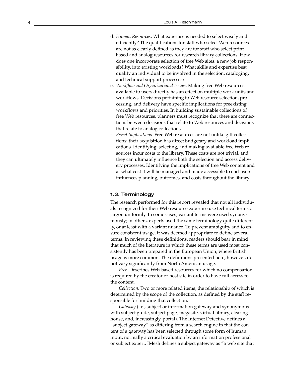- d. *Human Resources*. What expertise is needed to select wisely and efficiently? The qualifications for staff who select Web resources are not as clearly defined as they are for staff who select printbased and analog resources for research library collections. How does one incorporate selection of free Web sites, a new job responsibility, into existing workloads? What skills and expertise best qualify an individual to be involved in the selection, cataloging, and technical support processes?
- e. *Workflow and Organizational Issues*. Making free Web resources available to users directly has an effect on multiple work units and workflows. Decisions pertaining to Web resource selection, processing, and delivery have specific implications for preexisting workflows and priorities. In building sustainable collections of free Web resources, planners must recognize that there are connections between decisions that relate to Web resources and decisions that relate to analog collections.
- f. *Fiscal Implications*. Free Web resources are not unlike gift collections: their acquisition has direct budgetary and workload implications. Identifying, selecting, and making available free Web resources incur costs to the library. These costs are not trivial, and they can ultimately influence both the selection and access delivery processes. Identifying the implications of free Web content and at what cost it will be managed and made accessible to end users influences planning, outcomes, and costs throughout the library.

### 1.3. Terminology

The research performed for this report revealed that not all individuals recognized for their Web resource expertise use technical terms or jargon uniformly. In some cases, variant terms were used synonymously; in others, experts used the same terminology quite differently, or at least with a variant nuance. To prevent ambiguity and to ensure consistent usage, it was deemed appropriate to define several terms. In reviewing these definitions, readers should bear in mind that much of the literature in which these terms are used most consistently has been prepared in the European Union, where British usage is more common. The definitions presented here, however, do not vary significantly from North American usage.

*Free.* Describes Web-based resources for which no compensation is required by the creator or host site in order to have full access to the content.

*Collection*. Two or more related items, the relationship of which is determined by the scope of the collection, as defined by the staff responsible for building that collection.

*Gateway* (i.e., subject or information gateway and synonymous with subject guide, subject page, megasite, virtual library, clearinghouse, and, increasingly, portal). The Internet Detective defines a "subject gateway" as differing from a search engine in that the content of a gateway has been selected through some form of human input, normally a critical evaluation by an information professional or subject expert. IMesh defines a subject gateway as "a web site that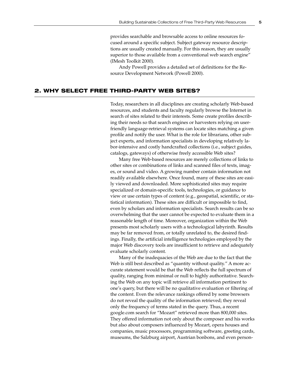provides searchable and browsable access to online resources focused around a specific subject. Subject gateway resource descriptions are usually created manually. For this reason, they are usually superior to those available from a conventional web search engine" (IMesh Toolkit 2000).

Andy Powell provides a detailed set of definitions for the Resource Development Network (Powell 2000).

## **2. WHY SELECT FREE THIRD-PARTY WEB SITES?**

Today, researchers in all disciplines are creating scholarly Web-based resources, and students and faculty regularly browse the Internet in search of sites related to their interests. Some create profiles describing their needs so that search engines or harvesters relying on userfriendly language-retrieval systems can locate sites matching a given profile and notify the user. What is the role for librarians, other subject experts, and information specialists in developing relatively labor-intensive and costly handcrafted collections (i.e., subject guides, catalogs, gateways) of otherwise freely accessible Web sites?

Many free Web-based resources are merely collections of links to other sites or combinations of links and scanned files of texts, images, or sound and video. A growing number contain information not readily available elsewhere. Once found, many of these sites are easily viewed and downloaded. More sophisticated sites may require specialized or domain-specific tools, technologies, or guidance to view or use certain types of content (e.g., geospatial, scientific, or statistical information). These sites are difficult or impossible to find, even by scholars and information specialists. Search results can be so overwhelming that the user cannot be expected to evaluate them in a reasonable length of time. Moreover, organization within the Web presents most scholarly users with a technological labyrinth. Results may be far removed from, or totally unrelated to, the desired findings. Finally, the artificial intelligence technologies employed by the major Web discovery tools are insufficient to retrieve and adequately evaluate scholarly content.

Many of the inadequacies of the Web are due to the fact that the Web is still best described as "quantity without quality." A more accurate statement would be that the Web reflects the full spectrum of quality, ranging from minimal or null to highly authoritative. Searching the Web on any topic will retrieve all information pertinent to one's query, but there will be no qualitative evaluation or filtering of the content. Even the relevance rankings offered by some browsers do not reveal the quality of the information retrieved; they reveal only the frequency of terms stated in the query. Thus, a recent google.com search for "Mozart" retrieved more than 800,000 sites. They offered information not only about the composer and his works but also about composers influenced by Mozart, opera houses and companies, music processors, programming software, greeting cards, museums, the Salzburg airport, Austrian bonbons, and even person-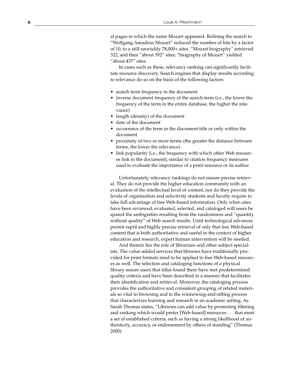al pages in which the name Mozart appeared. Refining the search to "Wolfgang Amadeus Mozart" reduced the number of hits by a factor of 10, to a still-unwieldy 78,000+ sites. "Mozart biography" retrieved 322, and then "about 392" sites; "biography of Mozart" yielded "about 437" sites.

In cases such as these, relevancy ranking can significantly facilitate resource discovery. Search engines that display results according to relevance do so on the basis of the following factors:

- search term frequency in the document
- inverse document frequency of the search term (i.e., the lower the frequency of the term in the entire database, the higher the relevance)
- length (density) of the document
- date of the document
- occurrence of the term in the document title or only within the document
- p roximity of two or more terms (the greater the distance between terms, the lower the relevance)
- link popularity (i.e., the frequency with which other Web resources link to the document); similar to citation frequency measures used to evaluate the importance of a print resource or its author

Unfortunately, relevancy rankings do not ensure precise retrieval. They do not provide the higher education community with an evaluation of the intellectual level of content, nor do they provide the levels of organization and selectivity students and faculty require to take full advantage of free Web-based information. Only when sites have been reviewed, evaluated, selected, and cataloged will users be spared the ambiguities resulting from the randomness and "quantity without quality" of Web search results. Until technological advances permit rapid and highly precise retrieval of only that free Web-based content that is both authoritative and useful in the context of higher education and research, expert human intervention will be needed.

And therein lies the role of librarians and other subject specialists. The value-added services that libraries have traditionally provided for print formats need to be applied to free Web-based resources as well. The selection and cataloging functions of a physical library assure users that titles found there have met predetermined quality criteria and have been described in a manner that facilitates their identification and retrieval. Moreover, the cataloging process provides the authoritative and consistent grouping of related materials so vital to browsing and to the winnowing-and-sifting process that characterizes learning and research in an academic setting. As Sarah Thomas states, "Libraries can add value by promoting filtering and ranking which would prefer [Web-based] resources . . . that meet a set of established criteria, such as having a strong likelihood of authenticity, accuracy, or endorsement by others of standing" (Thomas 2000).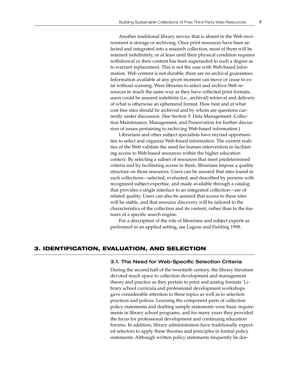Another traditional library service that is absent in the Web environment is storage or archiving. Once print resources have been selected and integrated into a research collection, most of them will be retained indefinitely, or at least until their physical condition requires withdrawal or their content has been superseded to such a degree as to warrant replacement. This is not the case with Web-based information. Web content is not durable; there are no archival guarantees. Information available at any given moment can move or cease to exist without warning. Were libraries to select and archive Web resources in much the same way as they have collected print formats, users could be assured indefinite (i.e., archival) retrieval and delivery of what is otherwise an ephemeral format. How best and at what cost free sites should be archived and by whom are questions currently under discussion. (See Section 5: Data Management: Collection Maintenance, Management, and Preservation for further discussion of issues pertaining to archiving Web-based information.)

Librarians and other subject specialists have myriad opportunities to select and organize Web-based information. The current realities of the Web validate the need for human intervention in facilitating access to Web-based resources within the higher education context. By selecting a subset of resources that meet predetermined criteria and by facilitating access to them, librarians impose a quality structure on those resources. Users can be assured that sites found in such collections—selected, evaluated, and described by persons with recognized subject expertise, and made available through a catalog that provides a single interface to an integrated collection—are of related quality. Users can also be assured that access to these sites will be stable, and that resource discovery will be tailored to the characteristics of the collection and its content, rather than to the features of a specific search engine.

For a description of the role of librarians and subject experts as performed in an applied setting, see Lagoze and Fielding 1998.

## **3. IDENTIFICATION, EVALUATION, AND SELECTION**

## 3.1. The Need for Web-Specific Selection Criteria

During the second half of the twentieth century, the library literature devoted much space to collection development and management theory and practice as they pertain to print and analog formats. Library school curricula and professional development workshops gave considerable attention to these topics as well as to selection practices and polices. Learning the component parts of collection policy statements and drafting sample statements were basic requirements in library school programs, and for many years they provided the focus for professional development and continuing education forums. In addition, library administrators have traditionally expected selectors to apply these theories and principles in formal policy statements. Although written policy statements frequently lie dor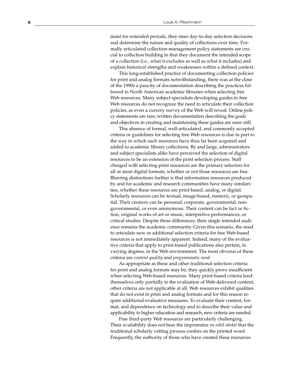mant for extended periods, they steer day-to-day selection decisions and determine the nature and quality of collections over time. Formally articulated collection-management policy statements are crucial to collection building in that they document the intended scope of a collection (i.e., what it excludes as well as what it includes) and explain historical strengths and weaknesses within a defined context.

This long-established practice of documenting collection policies for print and analog formats notwithstanding, there was at the close of the 1990s a paucity of documentation describing the practices followed in North American academic libraries when selecting free Web resources. Many subject specialists developing guides to free Web resources do not recognize the need to articulate their collection policies, as even a cursory survey of the Web will reveal. Online policy statements are rare; written documentation describing the goals and objectives in creating and maintaining these guides are rarer still.

This absence of formal, well-articulated, and commonly accepted criteria or guidelines for selecting free Web resources is due in part to the way in which such resources have thus far been acquired and added to academic library collections. By and large, administrators and subject specialists alike have perceived the selection of digital resources to be an extension of the print selection process. Staff charged with selecting print resources are the primary selectors for all or most digital formats, whether or not those resources are free. Blurring distinctions further is that information resources produced by and for academic and research communities have many similarities, whether these resources are print-based, analog, or digital. Scholarly resources can be textual, image-based, numeric, or geospatial. Their creators can be personal, corporate, governmental, nongovernmental, or even anonymous. Their content can be fact or fiction, original works of art or music, interpretive performances, or critical studies. Despite these differences, their single intended audience remains the academic community. Given this scenario, the need to articulate new or additional selection criteria for free Web-based resources is not immediately apparent. Indeed, many of the evaluative criteria that apply to print-based publications also pertain, to varying degrees, in the Web environment. The most obvious of these criteria are *content quality* and *programmatic need.*

As appropriate as these and other traditional selection criteria for print and analog formats may be, they quickly prove insufficient when selecting Web-based resources. Many print-based criteria lend themselves only partially to the evaluation of Web-delivered content; other criteria are not applicable at all. Web resources exhibit qualities that do not exist in print and analog formats and for this reason require additional evaluative measures. To evaluate their content, format, and dependence on technology and to describe their value and applicability to higher education and research, new criteria are needed.

Free third-party Web resources are particularly challenging. Their availability does not bear the imprimatur or *nihil obstat* that the traditional scholarly vetting process confers on the printed word. Frequently, the authority of those who have created these resources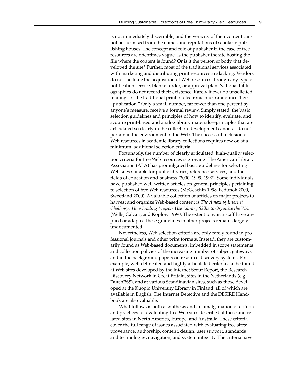is not immediately discernible, and the veracity of their content cannot be surmised from the names and reputations of scholarly publishing houses. The concept and role of publisher in the case of free resources are oftentimes vague. Is the publisher the site hosting the file where the content is found? Or is it the person or body that developed the site? Further, most of the traditional services associated with marketing and distributing print resources are lacking. Vendors do not facilitate the acquisition of Web resources through any type of notification service, blanket order, or approval plan. National bibliographies do not record their existence. Rarely if ever do unsolicited mailings or the traditional print or electronic blurb announce their "publication." Only a small number, far fewer than one percent by anyone's measure, receive a formal review. Simply stated, the basic selection guidelines and principles of how to identify, evaluate, and acquire print-based and analog library materials—principles that are articulated so clearly in the collection-development canons—do not pertain in the environment of the Web. The successful inclusion of Web resources in academic library collections requires new or, at a minimum, additional selection criteria.

Fortunately, the number of clearly articulated, high-quality selection criteria for free Web resources is growing. The American Library Association (ALA) has promulgated basic guidelines for selecting Web sites suitable for public libraries, reference services, and the fields of education and business (2000, 1999, 1997). Some individuals have published well-written articles on general principles pertaining to selection of free Web resources (McGeachin 1998, Fedunok 2000, Sweetland 2000). A valuable collection of articles on major projects to harvest and organize Web-based content is *The Amazing Internet Challenge: How Leading Projects Use Library Skills to Organize the Web* (Wells, Calcari, and Koplow 1999*).* The extent to which staff have applied or adapted these guidelines in other projects remains largely undocumented.

Nevertheless, Web selection criteria are only rarely found in professional journals and other print formats. Instead, they are customarily found as Web-based documents, imbedded in scope statements and collection policies of the increasing number of subject gateways and in the background papers on resource discovery systems. For example, well-delineated and highly articulated criteria can be found at Web sites developed by the Internet Scout Report, the Research Discovery Network in Great Britain, sites in the Netherlands (e.g., DutchESS), and at various Scandinavian sites, such as those developed at the Kuopio University Library in Finland, all of which are available in English. The Internet Detective and the DESIRE Handbook are also valuable.

What follows is both a synthesis and an amalgamation of criteria and practices for evaluating free Web sites described at these and related sites in North America, Europe, and Australia. These criteria cover the full range of issues associated with evaluating free sites: provenance, authorship, content, design, user support, standards and technologies, navigation, and system integrity. The criteria have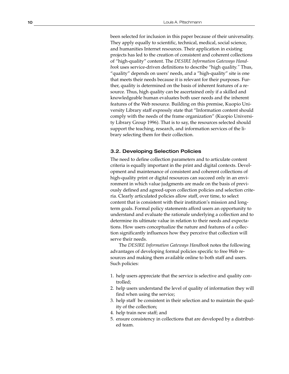been selected for inclusion in this paper because of their universality. They apply equally to scientific, technical, medical, social science, and humanities Internet resources. Their application in existing projects has led to the creation of consistent and coherent collections of "high-quality" content. The *DESIRE Information Gateways Handbook* uses service-driven definitions to describe "high quality.*"* Thus, "quality" depends on users' needs, and a "high-quality" site is one that meets their needs because it is relevant for their purposes. Further, quality is determined on the basis of inherent features of a resource. Thus, high quality can be ascertained only if a skilled and knowledgeable human evaluates both user needs and the inherent features of the Web resource. Building on this premise, Kuopio University Library staff expressly state that "Information content should comply with the needs of the frame organization" (Kuopio University Library Group 1996). That is to say, the resources selected should support the teaching, research, and information services of the library selecting them for their collection.

## 3.2. Developing Selection Policies

The need to define collection parameters and to articulate content criteria is equally important in the print and digital contexts. Development and maintenance of consistent and coherent collections of high-quality print or digital resources can succeed only in an envi ronment in which value judgments are made on the basis of previously defined and agreed-upon collection policies and selection criteria. Clearly articulated policies allow staff, over time, to select content that is consistent with their institution's mission and longterm goals. Formal policy statements afford users an opportunity to understand and evaluate the rationale underlying a collection and to determine its ultimate value in relation to their needs and expectations. How users conceptualize the nature and features of a collection significantly influences how they perceive that collection will serve their needs.

The *DESIRE Information Gateways Handbook* notes the following advantages of developing formal policies specific to free Web resources and making them available online to both staff and users. Such policies:

- 1. help users appreciate that the service is selective and quality controlled;
- 2. help users understand the level of quality of information they will find when using the service;
- 3. help staff be consistent in their selection and to maintain the quality of the collection;
- 4. help train new staff; and
- 5. ensure consistency in collections that are developed by a distributed team.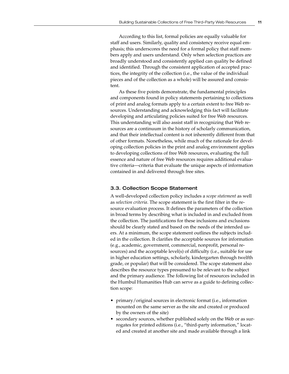According to this list, formal policies are equally valuable for staff and users. Similarly, quality and consistency receive equal emphasis; this underscores the need for a formal policy that staff members apply and users understand. Only when selection practices are broadly understood and consistently applied can quality be defined and identified. Through the consistent application of accepted practices, the integrity of the collection (i.e., the value of the individual pieces and of the collection as a whole) will be assured and consistent.

As these five points demonstrate, the fundamental principles and components found in policy statements pertaining to collections of print and analog formats apply to a certain extent to free Web resources. Understanding and acknowledging this fact will facilitate developing and articulating policies suited for free Web resources. This understanding will also assist staff in recognizing that Web resources are a continuum in the history of scholarly communication, and that their intellectual content is not inherently different from that of other formats. Nonetheless, while much of the rationale for developing collection policies in the print and analog environment applies to developing collections of free Web resources, evaluating the full essence and nature of free Web resources requires additional evaluative criteria—criteria that evaluate the unique aspects of information contained in and delivered through free sites.

#### 3.3. Collection Scope Statement

A well-developed collection policy includes a *scope statement* as well as *selection criteria*. The scope statement is the first filter in the resource evaluation process. It defines the parameters of the collection in broad terms by describing what is included in and excluded from the collection. The justifications for these inclusions and exclusions should be clearly stated and based on the needs of the intended users. At a minimum, the scope statement outlines the subjects included in the collection. It clarifies the acceptable sources for information (e.g., academic, government, commercial, nonprofit, personal resources) and the acceptable level(s) of difficulty (i.e., suitable for use in higher education settings, scholarly, kindergarten through twelfth grade, or popular) that will be considered. The scope statement also describes the resource types presumed to be relevant to the subject and the primary audience. The following list of resources included in the Humbul Humanities Hub can serve as a guide to defining collection scope:

- primary/original sources in electronic format (i.e., information mounted on the same server as the site and created or produced by the owners of the site)
- secondary sources, whether published solely on the Web or as surrogates for printed editions (i.e., "third-party information," located and created at another site and made available through a link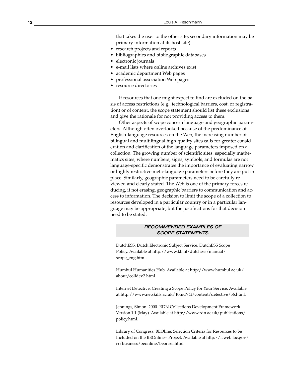that takes the user to the other site; secondary information may be primary information at its host site)

- research projects and reports
- bibliographies and bibliographic databases
- electronic journals
- e-mail lists where online archives exist
- academic department Web pages
- professional association Web pages
- resource directories

If resources that one might expect to find are excluded on the basis of access restrictions (e.g., technological barriers, cost, or registration) or of content, the scope statement should list these exclusions and give the rationale for not providing access to them.

Other aspects of scope concern language and geographic parameters. Although often overlooked because of the predominance of English-language resources on the Web, the increasing number of bilingual and multilingual high-quality sites calls for greater consideration and clarification of the language parameters imposed on a collection. The growing number of scientific sites, especially mathematics sites, where numbers, signs, symbols, and formulas are not language-specific demonstrates the importance of evaluating narrow or highly restrictive meta-language parameters before they are put in place. Similarly, geographic parameters need to be carefully reviewed and clearly stated. The Web is one of the primary forces reducing, if not erasing, geographic barriers to communication and access to information. The decision to limit the scope of a collection to resources developed in a particular country or in a particular language may be appropriate, but the justifications for that decision need to be stated.

## RECOMMENDED EXAMPLES OF SCOPE STATEMENTS

DutchESS. Dutch Electronic Subject Service. DutchESS Scope Policy. Available at http://www.kb.nl/dutchess/manual/ scope\_eng.html.

Humbul Humanities Hub. Available at http://www.humbul.ac.uk/ about/colldev2.html.

Internet Detective. Creating a Scope Policy for Your Service. Available at http://www.netskills.ac.uk/TonicNG/content/detective/56.html.

Jennings, Simon. 2000. RDN Collections Development Framework. Version 1.1 (May). Available at http://www.rdn.ac.uk/publications/ policy.html.

Library of Congress. BEOline: Selection Criteria for Resources to be Included on the BEOnline+ Project. Available at http://lcweb.loc.gov/ rr/business/beonline/beonsel.html.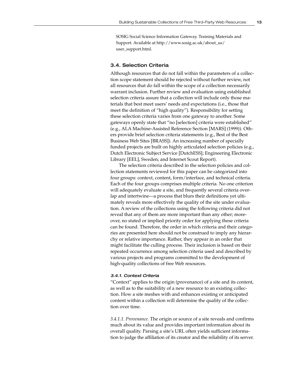SOSIG Social Science Information Gateway. Training Materials and Support. Available at http://www.sosig.ac.uk/about\_us/ user\_support.html.

## 3.4. Selection Criteria

Although resources that do not fall within the parameters of a collection scope statement should be rejected without further review, not all resources that do fall within the scope of a collection necessarily warrant inclusion. Further review and evaluation using established selection criteria assure that a collection will include only those materials that best meet users' needs and expectations (i.e., those that meet the definition of "high quality"). Responsibility for setting these selection criteria varies from one gateway to another. Some gateways openly state that "no [selection] criteria were established" (e.g., ALA Machine-Assisted Reference Section [MARS] (1999)). Others provide brief selection criteria statements (e.g., Best of the Best Business Web Sites [BRASS]). An increasing number of specially funded projects are built on highly articulated selection policies (e.g., Dutch Electronic Subject Service [DutchESS]; Engineering Electronic Library [EEL], Sweden; and Internet Scout Report).

The selection criteria described in the selection policies and collection statements reviewed for this paper can be categorized into four groups: context, content, form/interface, and technical criteria. Each of the four groups comprises multiple criteria. No one criterion will adequately evaluate a site, and frequently several criteria overlap and intertwine—a process that blurs their definitions yet ultimately reveals more effectively the quality of the site under evaluation. A review of the collections using the following criteria did not reveal that any of them are more important than any other; moreover, no stated or implied priority order for applying these criteria can be found. Therefore, the order in which criteria and their categories are presented here should not be construed to imply any hierarchy or relative importance. Rather, they appear in an order that might facilitate the culling process. Their inclusion is based on their repeated occurrence among selection criteria used and described by various projects and programs committed to the development of high-quality collections of free Web resources.

#### 3.4.1. Context Criteria

"Context" applies to the origin (provenance) of a site and its content, as well as to the suitability of a new resource to an existing collection. How a site meshes with and enhances existing or anticipated content within a collection will determine the quality of the collection over time.

*3.4.1.1. Provenance*. The origin or source of a site reveals and confirms much about its value and provides important information about its overall quality. Parsing a site's URL often yields sufficient information to judge the affiliation of its creator and the reliability of its server.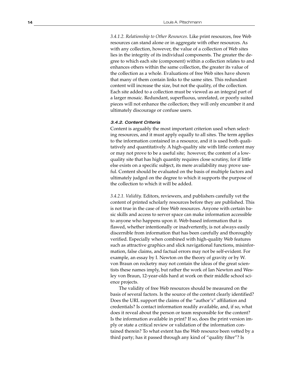*3.4.1.2. Relationship to Other Resources*. Like print resources, free Web resources can stand alone or in aggregate with other resources. As with any collection, however, the value of a collection of Web sites lies in the integrity of its individual components. The greater the degree to which each site (component) within a collection relates to and enhances others within the same collection, the greater its value of the collection as a whole. Evaluations of free Web sites have shown that many of them contain links to the same sites. This redundant content will increase the size, but not the quality, of the collection. Each site added to a collection must be viewed as an integral part of a larger mosaic. Redundant, superfluous, unrelated, or poorly suited pieces will not enhance the collection; they will only encumber it and ultimately discourage or confuse users.

#### 3.4.2. Content Criteria

Content is arguably the most important criterion used when selecting resources, and it must apply equally to all sites. The term applies to the information contained in a resource, and it is used both qualitatively and quantitatively. A high-quality site with little content may or may not prove to be a useful site; however, the content of a lowquality site that has high quantity requires close scrutiny, for if little else exists on a specific subject, its mere availability may prove useful. Content should be evaluated on the basis of multiple factors and ultimately judged on the degree to which it supports the purpose of the collection to which it will be added.

*3.4.2.1. Validity*. Editors, reviewers, and publishers carefully vet the content of printed scholarly resources before they are published. This is not true in the case of free Web resources. Anyone with certain basic skills and access to server space can make information accessible to anyone who happens upon it. Web-based information that is flawed, whether intentionally or inadvertently, is not always easily discernible from information that has been carefully and thoroughly verified. Especially when combined with high-quality Web features such as attractive graphics and slick navigational functions, misinformation, false claims, and factual errors may not be self-evident. For example, an essay by I. Newton on the theory of gravity or by W. von Braun on rocketry may not contain the ideas of the great scientists these names imply, but rather the work of Ian Newton and Wesley von Braun, 12-year-olds hard at work on their middle school science projects.

The validity of free Web resources should be measured on the basis of several factors. Is the source of the content clearly identified? Does the URL support the claims of the "author's" affiliation and credentials? Is contact information readily available, and, if so, what does it reveal about the person or team responsible for the content? Is the information available in print? If so, does the print version imply or state a critical review or validation of the information contained therein? To what extent has the Web resource been vetted by a third party; has it passed through any kind of "quality filter"? Is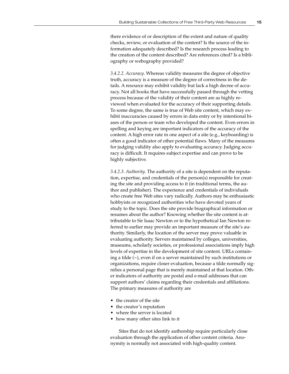there evidence of or description of the extent and nature of quality checks, review, or evaluation of the content? Is the source of the information adequately described? Is the research process leading to the creation of the content described? Are references cited? Is a bibliography or webography provided?

*3.4.2.2. Accuracy*. Whereas validity measures the degree of objective truth, accuracy is a measure of the degree of correctness in the details. A resource may exhibit validity but lack a high decree of accuracy. Not all books that have successfully passed through the vetting process because of the validity of their content are as highly reviewed when evaluated for the accuracy of their supporting details. To some degree, the same is true of Web site content, which may exhibit inaccuracies caused by errors in data entry or by intentional biases of the person or team who developed the content. Even errors in spelling and keying are important indicators of the accuracy of the content. A high error rate in one aspect of a site (e.g., keyboarding) is often a good indicator of other potential flaws. Many of the measures for judging validity also apply to evaluating accuracy. Judging accuracy is difficult. It requires subject expertise and can prove to be highly subjective.

*3.4.2.3. Authority*. The authority of a site is dependent on the reputation, expertise, and credentials of the person(s) responsible for creating the site and providing access to it (in traditional terms, the author and publisher). The experience and credentials of individuals who create free Web sites vary radically. Authors may be enthusiastic hobbyists or recognized authorities who have devoted years of study to the topic. Does the site provide biographical information or resumes about the author? Knowing whether the site content is attributable to Sir Isaac Newton or to the hypothetical Ian Newton referred to earlier may provide an important measure of the site's authority. Similarly, the location of the server may prove valuable in evaluating authority. Servers maintained by colleges, universities, museums, scholarly societies, or professional associations imply high levels of expertise in the development of site content. URLs containing a tilde  $(\sim)$ , even if on a server maintained by such institutions or organizations, require closer evaluation, because a tilde normally signifies a personal page that is merely maintained at that location. Other indicators of authority are postal and e-mail addresses that can support authors' claims regarding their credentials and affiliations. The primary measures of authority are

- the creator of the site
- the creator's reputation
- where the server is located
- how many other sites link to it

Sites that do not identify authorship require particularly close evaluation through the application of other content criteria. Anonymity is normally not associated with high-quality content.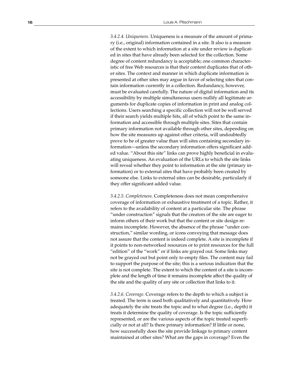*3.4.2.4. Uniqueness*. Uniqueness is a measure of the amount of primary (i.e., original) information contained in a site. It also is a measure of the extent to which information at a site under review is duplicated in sites that have already been selected for the collection. Some degree of content redundancy is acceptable; one common characteristic of free Web resources is that their content duplicates that of other sites. The context and manner in which duplicate information is presented at other sites may argue in favor of selecting sites that contain information currently in a collection. Redundancy, however, must be evaluated carefully. The nature of digital information and its accessibility by multiple simultaneous users nullify all legitimate arguments for duplicate copies of information in print and analog collections. Users searching a specific collection will not be well served if their search yields multiple hits, all of which point to the same information and accessible through multiple sites. Sites that contain primary information not available through other sites, depending on how the site measures up against other criteria, will undoubtedly prove to be of greater value than will sites containing secondary information—unless the secondary information offers significant added value. "About this site" links can prove highly beneficial in evaluating uniqueness. An evaluation of the URLs to which the site links will reveal whether they point to information at the site (primary information) or to external sites that have probably been created by someone else. Links to external sites can be desirable, particularly if they offer significant added value.

*3.4.2.5. Completeness*. Completeness does not mean comprehensive coverage of information or exhaustive treatment of a topic. Rather, it refers to the availability of content at a particular site. The phrase "under construction" signals that the creators of the site are eager to inform others of their work but that the content or site design remains incomplete. However, the absence of the phrase "under construction," similar wording, or icons conveying that message does not assure that the content is indeed complete. A site is incomplete if it points to non-networked resources or to print resources for the full "edition" of the "work" or if links are grayed out. Some links may not be grayed out but point only to empty files. The content may fail to support the purpose of the site; this is a serious indication that the site is not complete. The extent to which the content of a site is incomplete and the length of time it remains incomplete affect the quality of the site and the quality of any site or collection that links to it.

*3.4.2.6. Coverage*. Coverage refers to the depth to which a subject is treated. The term is used both qualitatively and quantitatively. How adequately the site treats the topic and to what degree (i.e., depth) it treats it determine the quality of coverage. Is the topic sufficiently represented, or are the various aspects of the topic treated superficially or not at all? Is there primary information? If little or none, how successfully does the site provide linkage to primary content maintained at other sites? What are the gaps in coverage? Even the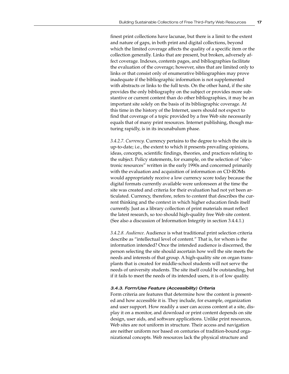finest print collections have lacunae, but there is a limit to the extent and nature of gaps, in both print and digital collections, beyond which the limited coverage affects the quality of a specific item or the collection generally. Links that are present, but broken, adversely affect coverage. Indexes, contents pages, and bibliographies facilitate the evaluation of the coverage; however, sites that are limited only to links or that consist only of enumerative bibliographies may prove inadequate if the bibliographic information is not supplemented with abstracts or links to the full texts. On the other hand, if the site provides the only bibliography on the subject or provides more substantive or current content than do other bibliographies, it may be an important site solely on the basis of its bibliographic coverage. At this time in the history of the Internet, users should not expect to find that coverage of a topic provided by a free Web site necessarily equals that of many print resources. Internet publishing, though maturing rapidly, is in its incunabulum phase.

*3.4.2.7. Currency*. Currency pertains to the degree to which the site is up-to-date; i.e., the extent to which it presents prevailing opinions, ideas, concepts, scientific findings, theories, and practices relating to the subject. Policy statements, for example, on the selection of "electronic resources" written in the early 1990s and concerned primarily with the evaluation and acquisition of information on CD-ROMs would appropriately receive a low currency score today because the digital formats currently available were unforeseen at the time the site was created and criteria for their evaluation had not yet been articulated. Currency, therefore, refers to content that describes the current thinking and the context in which higher education finds itself currently. Just as a library collection of print materials must reflect the latest research, so too should high-quality free Web site content. (See also a discussion of Information Integrity in section 3.4.4.1.)

*3.4.2.8. Audience*. Audience is what traditional print selection criteria describe as "intellectual level of content." That is, for whom is the information intended? Once the intended audience is discerned, the person selecting the site should ascertain how well the site meets the needs and interests of that group. A high-quality site on organ transplants that is created for middle-school students will not serve the needs of university students. The site itself could be outstanding, but if it fails to meet the needs of its intended users, it is of low quality.

### 3.4.3. Form/Use Feature (Accessibility) Criteria

Form criteria are features that determine how the content is presented and how accessible it is. They include, for example, organization and user support. How readily a user can access content at a site, display it on a monitor, and download or print content depends on site design, user aids, and software applications. Unlike print resources, Web sites are not uniform in structure. Their access and navigation are neither uniform nor based on centuries of tradition-bound organizational concepts. Web resources lack the physical structure and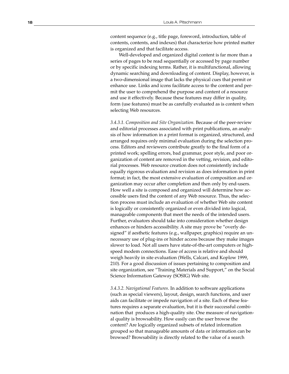content sequence (e.g., title page, foreword, introduction, table of contents, contents, and indexes) that characterize how printed matter is organized and that facilitate access.

Well-developed and organized digital content is far more than a series of pages to be read sequentially or accessed by page number or by specific indexing terms. Rather, it is multifunctional, allowing dynamic searching and downloading of content. Display, however, is a two-dimensional image that lacks the physical cues that permit or enhance use. Links and icons facilitate access to the content and permit the user to comprehend the purpose and content of a resource and use it effectively. Because these features may differ in quality, form (use features) must be as carefully evaluated as is content when selecting Web resources.

*3.4.3.1. Composition and Site Organization.* Because of the peer-review and editorial processes associated with print publications, an analysis of how information in a print format is organized, structured, and arranged requires only minimal evaluation during the selection process. Editors and reviewers contribute greatly to the final form of a printed work; spelling errors, bad grammar, poor style, and poor organization of content are removed in the vetting, revision, and editorial processes. Web resource creation does not consistently include equally rigorous evaluation and revision as does information in print format; in fact, the most extensive evaluation of composition and organization may occur after completion and then only by end-users. How well a site is composed and organized will determine how accessible users find the content of any Web resource. Thus, the selection process must include an evaluation of whether Web site content is logically or consistently organized or even divided into logical, manageable components that meet the needs of the intended users. Further, evaluators should take into consideration whether design enhances or hinders accessibility. A site may prove be "overly designed" if aesthetic features (e.g., wallpaper, graphics) require an unnecessary use of plug-ins or hinder access because they make images slower to load. Not all users have state-of-the-art computers or highspeed modem connections. Ease of access is relative and should weigh heavily in site evaluation (Wells, Calcari, and Koplow 1999, 210). For a good discussion of issues pertaining to composition and site organization, see "Training Materials and Support," on the Social Science Information Gateway (SOSIG) Web site.

*3.4.3.2. Navigational Features*. In addition to software applications (such as special viewers), layout, design, search functions, and user aids can facilitate or impede navigation of a site. Each of these features requires a separate evaluation, but it is their successful combination that produces a high-quality site. One measure of navigational quality is browsability. How easily can the user browse the content? Are logically organized subsets of related information grouped so that manageable amounts of data or information can be browsed? Browsability is directly related to the value of a search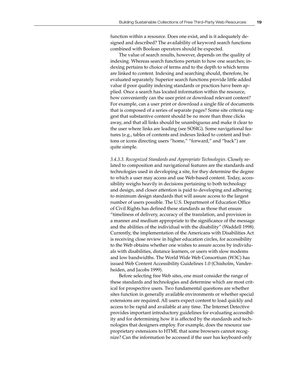function within a resource. Does one exist, and is it adequately designed and described? The availability of keyword search functions combined with Boolean operators should be expected.

The value of search results, however, depends on the quality of indexing. Whereas search functions pertain to how one searches; indexing pertains to choice of terms and to the depth to which terms are linked to content. Indexing and searching should, therefore, be evaluated separately. Superior search functions provide little added value if poor quality indexing standards or practices have been applied. Once a search has located information within the resource, how conveniently can the user print or download relevant content? For example, can a user print or download a single file of documents that is composed of a series of separate pages? Some site criteria suggest that substantive content should be no more than three clicks away, and that all links should be unambiguous and make it clear to the user where links are leading (see SOSIG). Some navigational features (e.g., tables of contents and indexes linked to content and buttons or icons directing users "home," "forward," and "back") are quite simple.

*3.4.3.3. Recognized Standards and Appropriate Technologies*. Closely related to composition and navigational features are the standards and technologies used in developing a site, for they determine the degree to which a user may access and use Web-based content. Today, accessibility weighs heavily in decisions pertaining to both technology and design, and closer attention is paid to developing and adhering to minimum design standards that will assure access to the largest number of users possible. The U.S. Department of Education Office of Civil Rights has defined these standards as those that ensure "timeliness of delivery, accuracy of the translation, and provision in a manner and medium appropriate to the significance of the message and the abilities of the individual with the disability" (Waddell 1998). Currently, the implementation of the Americans with Disabilities Act is receiving close review in higher education circles, for accessibility to the Web obtains whether one wishes to assure access by individuals with disabilities, distance learners, or users with slow modems and low bandwidths. The World Wide Web Consortium (W3C) has issued Web Content Accessibility Guidelines 1.0 (Chisholm, Vanderheiden, and Jacobs 1999).

Before selecting free Web sites, one must consider the range of these standards and technologies and determine which are most critical for prospective users. Two fundamental questions are whether sites function in generally available environments or whether special extensions are required. All users expect content to load quickly and access to be rapid and available at any time. The Internet Detective provides important introductory guidelines for evaluating accessibility and for determining how it is affected by the standards and technologies that designers employ. For example, does the resource use proprietary extensions to HTML that some browsers cannot recognize? Can the information be accessed if the user has keyboard-only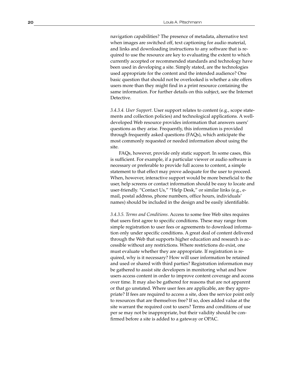navigation capabilities? The presence of metadata, alternative text when images are switched off, text captioning for audio material, and links and downloading instructions to any software that is required to use the resource are key to evaluating the extent to which currently accepted or recommended standards and technology have been used in developing a site. Simply stated, are the technologies used appropriate for the content and the intended audience? One basic question that should not be overlooked is whether a site offers users more than they might find in a print resource containing the same information. For further details on this subject, see the Internet Detective.

*3.4.3.4. User Support*. User support relates to content (e.g., scope statements and collection policies) and technological applications. A welldeveloped Web resource provides information that answers users' questions as they arise. Frequently, this information is provided through frequently asked questions (FAQs), which anticipate the most commonly requested or needed information about using the site.

FAQs, however, provide only static support. In some cases, this is sufficient. For example, if a particular viewer or audio software is necessary or preferable to provide full access to content, a simple statement to that effect may prove adequate for the user to proceed. When, however, interactive support would be more beneficial to the user, help screens or contact information should be easy to locate and user-friendly. "Contact Us," "Help Desk," or similar links (e.g., email, postal address, phone numbers, office hours, individuals' names) should be included in the design and be easily identifiable.

*3.4.3.5. Terms and Conditions*. Access to some free Web sites requires that users first agree to specific conditions. These may range from simple registration to user fees or agreements to download information only under specific conditions. A great deal of content delivered through the Web that supports higher education and research is accessible without any restrictions. Where restrictions do exist, one must evaluate whether they are appropriate. If registration is required, why is it necessary? How will user information be retained and used or shared with third parties? Registration information may be gathered to assist site developers in monitoring what and how users access content in order to improve content coverage and access over time. It may also be gathered for reasons that are not apparent or that go unstated. Where user fees are applicable, are they appropriate? If fees are required to access a site, does the service point only to resources that are themselves free? If so, does added value at the site warrant the required cost to users? Terms and conditions of use per se may not be inappropriate, but their validity should be confirmed before a site is added to a gateway or OPAC.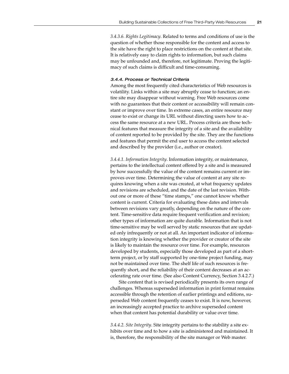*3.4.3.6. Rights Legitimacy*. Related to terms and conditions of use is the question of whether those responsible for the content and access to the site have the right to place restrictions on the content at that site. It is relatively easy to claim rights to information, but such claims may be unfounded and, therefore, not legitimate. Proving the legitimacy of such claims is difficult and time-consuming.

#### 3.4.4. Process or Technical Criteria

Among the most frequently cited characteristics of Web resources is volatility. Links within a site may abruptly cease to function; an entire site may disappear without warning. Free Web resources come with no guarantees that their content or accessibility will remain constant or improve over time. In extreme cases, an entire resource may cease to exist or change its URL without directing users how to access the same resource at a new URL. Process criteria are those technical features that measure the integrity of a site and the availability of content reported to be provided by the site. They are the functions and features that permit the end user to access the content selected and described by the provider (i.e., author or creator).

*3.4.4.1. Information Integrity*. Information integrity, or maintenance, pertains to the intellectual content offered by a site and is measured by how successfully the value of the content remains current or improves over time. Determining the value of content at any site requires knowing when a site was created, at what frequency updates and revisions are scheduled, and the date of the last revision. Without one or more of these "time stamps," one cannot know whether content is current. Criteria for evaluating these dates and intervals between revisions vary greatly, depending on the nature of the content. Time-sensitive data require frequent verification and revision; other types of information are quite durable. Information that is not time-sensitive may be well served by static resources that are updated only infrequently or not at all. An important indicator of information integrity is knowing whether the provider or creator of the site is likely to maintain the resource over time. For example, resources developed by students, especially those developed as part of a shortterm project, or by staff supported by one-time project funding, may not be maintained over time. The shelf life of such resources is frequently short, and the reliability of their content decreases at an accelerating rate over time. (See also Content Currency, Section 3.4.2.7.)

Site content that is revised periodically presents its own range of challenges. Whereas superseded information in print format remains accessible through the retention of earlier printings and editions, superseded Web content frequently ceases to exist. It is now, however, an increasingly accepted practice to archive superseded content when that content has potential durability or value over time.

*3.4.4.2. Site Integrity*. Site integrity pertains to the stability a site exhibits over time and to how a site is administered and maintained. It is, therefore, the responsibility of the site manager or Web master.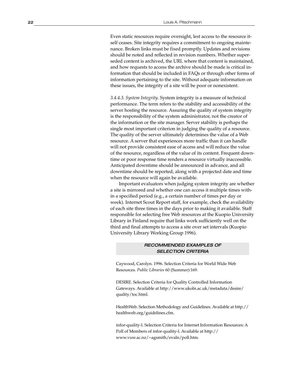Even static resources require oversight, lest access to the resource itself ceases. Site integrity requires a commitment to ongoing maintenance. Broken links must be fixed promptly. Updates and revisions should be noted and reflected in revision numbers. Whether superseded content is archived, the URL where that content is maintained, and how requests to access the archive should be made is critical information that should be included in FAQs or through other forms of information pertaining to the site. Without adequate information on these issues, the integrity of a site will be poor or nonexistent.

*3.4.4.3. System Integrity*. System integrity is a measure of technical performance. The term refers to the stability and accessibility of the server hosting the resource. Assuring the quality of system integrity is the responsibility of the system administrator, not the creator of the information or the site manager. Server stability is perhaps the single most important criterion in judging the quality of a resource. The quality of the server ultimately determines the value of a Web resource. A server that experiences more traffic than it can handle will not provide consistent ease of access and will reduce the value of the resource, regardless of the value of its content. Frequent downtime or poor response time renders a resource virtually inaccessible. Anticipated downtime should be announced in advance, and all downtime should be reported, along with a projected date and time when the resource will again be available.

Important evaluators when judging system integrity are whether a site is mirrored and whether one can access it multiple times within a specified period (e.g., a certain number of times per day or week). Internet Scout Report staff, for example, check the availability of each site three times in the days prior to making it available. Staff responsible for selecting free Web resources at the Kuopio University Library in Finland require that links work sufficiently well on the third and final attempts to access a site over set intervals (Kuopio University Library Working Group 1996).

## RECOMMENDED EXAMPLES OF SELECTION CRITERIA

Caywood, Carolyn. 1996. Selection Criteria for World Wide Web Resources. *Public Libraries* 60 (Summer):169.

DESIRE. Selection Criteria for Quality Controlled Information Gateways. Available at http://www.ukoln.ac.uk/metadata/desire/ quality/toc.html.

HealthWeb. Selection Methodology and Guidelines. Available at http:// healthweb.org/guidelines.cfm.

infor-quality-l. Selection Criteria for Internet Information Resources: A Poll of Members of infor-quality-l. Available at http:// www.vuw.ac.nz/~agsmith/evaln/poll.htm.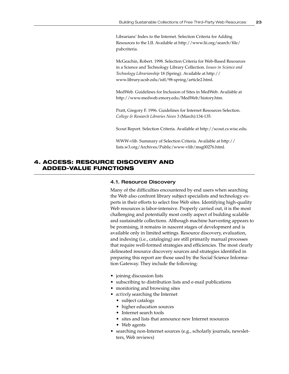Librarians' Index to the Internet. Selection Criteria for Adding Resources to the LII. Available at http://www.lii.org/search/file/ pubcriteria.

McGeachin, Robert. 1998. Selection Criteria for Web-Based Resources in a Science and Technology Library Collection. *Issues in Science and Technology Librarianship* 18 (Spring). Available at http:// www.library.ucsb.edu/istl/98-spring/article2.html.

MedWeb. Guidelines for Inclusion of Sites in MedWeb. Available at http://www.medweb.emory.edu/MedWeb/history.htm.

Pratt, Gregory F. 1996. Guidelines for Internet Resources Selection. *College & Research Libraries News* 3 (March):134-135.

Scout Report. Selection Criteria. Available at http://scout.cs.wisc.edu.

WWW-vlib. Summary of Selection Criteria. Available at http:// lists.w3.org/Archives/Public/www-vlib/msg00276.html.

## **4. ACCESS: RESOURCE DISCOVERY AND ADDED-VALUE FUNCTIONS**

#### 4.1. Resource Discovery

Many of the difficulties encountered by end users when searching the Web also confront library subject specialists and technology experts in their efforts to select free Web sites. Identifying high-quality Web resources is labor-intensive. Properly carried out, it is the most challenging and potentially most costly aspect of building scalable and sustainable collections. Although machine harvesting appears to be promising, it remains in nascent stages of development and is available only in limited settings. Resource discovery, evaluation, and indexing (i.e., cataloging) are still primarily manual processes that require well-formed strategies and efficiencies. The most clearly delineated resource discovery sources and strategies identified in preparing this report are those used by the Social Science Information Gateway. They include the following:

- joining discussion lists
- subscribing to distribution lists and e-mail publications
- monitoring and browsing sites
- *actively* searching the Internet
	- subject catalogs
	- higher education sources
	- Internet search tools
	- sites and lists that announce new Internet resources
	- Web agents
- searching non-Internet sources (e.g., scholarly journals, newsletters, Web reviews)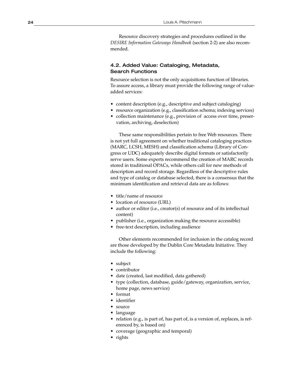Resource discovery strategies and procedures outlined in the *DESIRE Information Gateways Handbook* (section 2-2) are also recommended.

## 4.2. Added Value: Cataloging, Metadata, Search Functions

Resource selection is not the only acquisitions function of libraries. To assure access, a library must provide the following range of valueadded services:

- content description (e.g., descriptive and subject cataloging)
- resource organization (e.g., classification schema; indexing services)
- collection maintenance (e.g., provision of access over time, preservation, archiving, deselection)

These same responsibilities pertain to free Web resources. There is not yet full agreement on whether traditional cataloging practices (MARC, LCSH, MESH) and classification schema (Library of Congress or UDC) adequately describe digital formats or satisfactorily serve users. Some experts recommend the creation of MARC records stored in traditional OPACs, while others call for new methods of description and record storage. Regardless of the descriptive rules and type of catalog or database selected, there is a consensus that the minimum identification and retrieval data are as follows:

- title/name of resource
- location of resource (URL)
- author or editor (i.e., creator(s) of resource and of its intellectual content)
- publisher (i.e., organization making the resource accessible)
- free-text description, including audience

Other elements recommended for inclusion in the catalog record are those developed by the Dublin Core Metadata Initiative. They include the following:

- subject
- contributor
- date (created, last modified, data gathered)
- type (collection, database, guide/gateway, organization, service, home page, news service)
- format
- identifier
- source
- language
- relation (e.g., is part of, has part of, is a version of, replaces, is referenced by, is based on)
- coverage (geographic and temporal)
- rights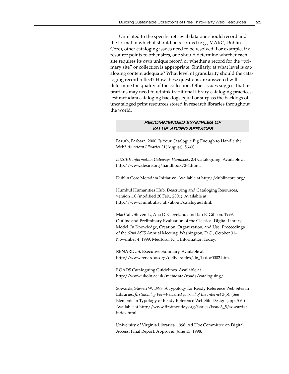Unrelated to the specific retrieval data one should record and the format in which it should be recorded (e.g., MARC, Dublin Core), other cataloging issues need to be resolved. For example, if a resource points to other sites, one should determine whether each site requires its own unique record or whether a record for the "primary site" or collection is appropriate. Similarly, at what level is cataloging content adequate? What level of granularity should the cataloging record reflect? How these questions are answered will determine the quality of the collection. Other issues suggest that librarians may need to rethink traditional library cataloging practices, lest metadata cataloging backlogs equal or surpass the backlogs of uncataloged print resources stored in research libraries throughout the world.

## RECOMMENDED EXAMPLES OF VALUE-ADDED SERVICES

Baruth, Barbara. 2000. Is Your Catalogue Big Enough to Handle the Web? *American Libraries* 31(August): 56-60.

*DESIRE Information Gateways Handbook*. 2.4 Cataloguing. Available at http://www.desire.org/handbook/2-4.html.

Dublin Core Metadata Initiative. Available at http://dublincore.org/.

Humbul Humanities Hub. Describing and Cataloging Resources, version 1.0 (modified 20 Feb., 2001). Available at http://www.humbul.ac.uk/about/catalogue.html.

MacCall, Steven L., Ana D. Cleveland, and Ian E. Gibson. 1999. Outline and Preliminary Evaluation of the Classical Digital Library Model. In Knowledge, Creation, Organization, and Use. Proceedings of the 62nd ASIS Annual Meeting, Washington, D.C., October 31– November 4, 1999: Medford, N.J.: Information Today.

RENARDUS. Executive Summary. Available at http://www.renardus.org/deliverables/d6\_1/doc0002.htm.

ROADS Cataloguing Guidelines. Available at http://www.ukoln.ac.uk/metadata/roads/cataloguing/.

Sowards, Steven W. 1998. A Typology for Ready Reference Web Sites in Libraries. *firstmonday Peer-Reviewed Journal of the Internet* 3(5). (See Elements in Typology of Ready Reference Web Site Designs, pp. 5-6.) Available at http://www.firstmonday.org/issues/issue3\_5/sowards/ index.html.

University of Virginia Libraries. 1998. Ad Hoc Committee on Digital Access. Final Report. Approved June 15, 1998.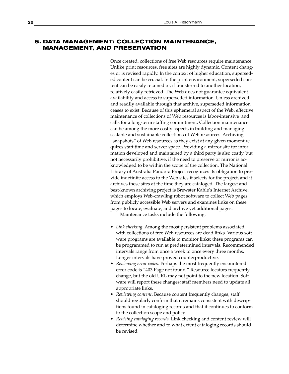## **5. DATA MANAGEMENT: COLLECTION MAINTENANCE, MANAGEMENT, AND PRESERVATION**

Once created, collections of free Web resources require maintenance. Unlike print resources, free sites are highly dynamic. Content changes or is revised rapidly. In the context of higher education, superseded content can be crucial. In the print environment, superseded content can be easily retained or, if transferred to another location, relatively easily retrieved. The Web does not guarantee equivalent availability and access to superseded information. Unless archived and readily available through that archive, superseded information ceases to exist. Because of this ephemeral aspect of the Web, effective maintenance of collections of Web resources is labor-intensive and calls for a long-term staffing commitment. Collection maintenance can be among the more costly aspects in building and managing scalable and sustainable collections of Web resources. Archiving "snapshots" of Web resources as they exist at any given moment requires staff time and server space. Providing a mirror site for information developed and maintained by a third party is also costly, but not necessarily prohibitive, if the need to preserve or mirror is acknowledged to be within the scope of the collection. The National Library of Australia Pandora Project recognizes its obligation to provide indefinite access to the Web sites it selects for the project, and it archives these sites at the time they are cataloged. The largest and best-known archiving project is Brewster Kahle's Internet Archive, which employs Web-crawling robot software to collect Web pages from publicly accessible Web servers and examines links on these pages to locate, evaluate, and archive yet additional pages.

Maintenance tasks include the following:

- *Link checking*. Among the most persistent problems associated with collections of free Web resources are dead links. Various software programs are available to monitor links; these programs can be programmed to run at predetermined intervals. Recommended intervals range from once a week to once every three months. Longer intervals have proved counterproductive.
- *Reviewing error codes*. Perhaps the most frequently encountered error code is "403 Page not found." Resource locators frequently change, but the old URL may not point to the new location. Software will report these changes; staff members need to update all appropriate links.
- *Reviewing content*. Because content frequently changes, staff should regularly confirm that it remains consistent with descriptions found in cataloging records and that it continues to conform to the collection scope and policy.
- *Revising cataloging records*. Link checking and content review will determine whether and to what extent cataloging records should be revised.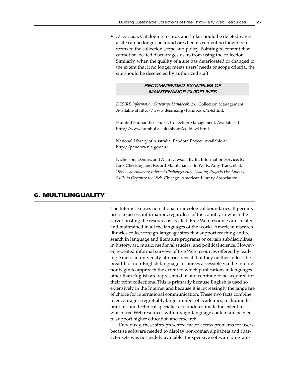• *Deselection*. Cataloging records and links should be deleted when a site can no longer be found or when its content no longer conforms to the collection scope and policy. Pointing to content that cannot be located discourages users from using the collection. Similarly, when the quality of a site has deteriorated or changed to the extent that it no longer meets users' needs or scope criteria, the site should be deselected by authorized staff.

## RECOMMENDED EXAMPLES OF MAINTENANCE GUIDELINES

*DESIRE Information Gateways Handbook*. 2.6. Collection Management. Available at http://www.desire.org/handbook/2-6.html.

Humbul Humanities Hub.4. Collection Management. Available at http://www.humbul.ac.uk/about/colldev4.html.

National Library of Australia. Pandora Project. Available at http://pandora.nla.gov.au/.

Nicholson, Dennis, and Alan Dawson. BUBL Information Service: 8.5 Link Checking and Record Maintenance. In Wells, Amy Tracy, et al*.* 1999. *The Amazing Internet Challenge: How Leading Projects Use Library Skills to Organize the Web.* Chicago: American Library Association.

## **6. MULTILINGUALITY**

The Internet knows no national or ideological boundaries. It permits users to access information, regardless of the country in which the server hosting the resource is located. Free Web resources are created and maintained in all the languages of the world. American research libraries collect foreign-language sites that support teaching and research in language and literature programs or certain subdisciplines in history, art, music, medieval studies, and political science. However, repeated informal surveys of free Web resources offered by leading American university libraries reveal that they neither reflect the breadth of non-English-language resources accessible via the Internet nor begin to approach the extent to which publications in languages other than English are represented in and continue to be acquired for their print collections. This is primarily because English is used so extensively in the Internet and because it is increasingly the language of choice for international communication. These two facts combine to encourage a regrettably large number of academics, including librarians and technical specialists, to underestimate the extent to which free Web resources with foreign-language content are needed to support higher education and research.

Previously, these sites presented major access problems for users, because software needed to display non-roman alphabets and character sets was not widely available. Inexpensive software programs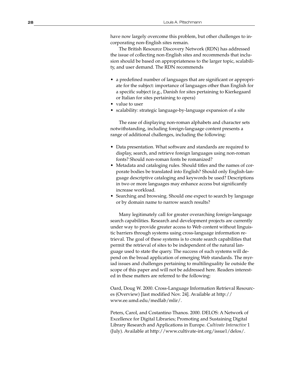have now largely overcome this problem, but other challenges to incorporating non-English sites remain.

The British Resource Discovery Network (RDN) has addressed the issue of collecting non-English sites and recommends that inclusion should be based on appropriateness to the larger topic, scalability, and user demand. The RDN recommends

- a predefined number of languages that are significant or appropriate for the subject: importance of languages other than English for a specific subject (e.g., Danish for sites pertaining to Kierkegaard or Italian for sites pertaining to opera)
- value to user
- scalability: strategic language-by-language expansion of a site

The ease of displaying non-roman alphabets and character sets notwithstanding, including foreign-language content presents a range of additional challenges, including the following:

- Data presentation. What software and standards are required to display, search, and retrieve foreign languages using non-roman fonts? Should non-roman fonts be romanized?
- Metadata and cataloging rules. Should titles and the names of corporate bodies be translated into English? Should only English-language descriptive cataloging and keywords be used? Descriptions in two or more languages may enhance access but significantly increase workload.
- Searching and browsing. Should one expect to search by language or by domain name to narrow search results?

Many legitimately call for greater overarching foreign-language search capabilities. Research and development projects are currently under way to provide greater access to Web content without linguistic barriers through systems using cross-language information retrieval. The goal of these systems is to create search capabilities that permit the retrieval of sites to be independent of the natural language used to state the query. The success of such systems will depend on the broad application of emerging Web standards. The myriad issues and challenges pertaining to multilinguality lie outside the scope of this paper and will not be addressed here. Readers interested in these matters are referred to the following:

Oard, Doug W. 2000. Cross-Language Information Retrieval Resources (Overview) [last modified Nov. 24]. Available at http:// www.ee.umd.edu/medlab/mlir/.

Peters, Carol, and Costantino Thanos. 2000. DELOS: A Network of Excellence for Digital Libraries; Promoting and Sustaining Digital Library Research and Applications in Europe. *Cultivate Interactive* 1 (July). Available at http://www.cultivate-int.org/issue1/delos/.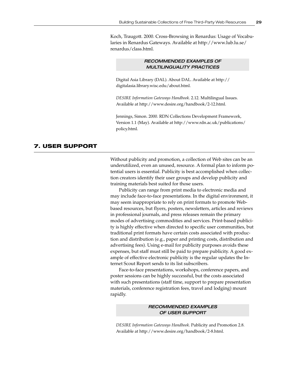Koch, Traugott. 2000. Cross-Browsing in Renardus: Usage of Vocabularies in Renardus Gateways. Available at http://www.lub.lu.se/ renardus/class.html.

## RECOMMENDED EXAMPLES OF MULTILINGUALITY PRACTICES

Digital Asia Library (DAL). About DAL. Available at http:// digitalasia.library.wisc.edu/about.html.

*DESIRE Information Gateways Handbook*. 2.12. Multilingual Issues. Available at http://www.desire.org/handbook/2-12.html.

Jennings, Simon. 2000. RDN Collections Development Framework, Version 1.1 (May). Available at http://www.rdn.ac.uk/publications/ policy.html.

## **7. USER SUPPORT**

Without publicity and promotion, a collection of Web sites can be an underutilized, even an unused, resource. A formal plan to inform potential users is essential. Publicity is best accomplished when collection creators identify their user groups and develop publicity and training materials best suited for those users.

Publicity can range from print media to electronic media and may include face-to-face presentations. In the digital environment, it may seem inappropriate to rely on print formats to promote Webbased resources, but flyers, posters, newsletters, articles and reviews in professional journals, and press releases remain the primary modes of advertising commodities and services. Print-based publicity is highly effective when directed to specific user communities, but traditional print formats have certain costs associated with production and distribution (e.g., paper and printing costs, distribution and advertising fees). Using e-mail for publicity purposes avoids these expenses, but staff must still be paid to prepare publicity. A good example of effective electronic publicity is the regular updates the Internet Scout Report sends to its list subscribers.

Face-to-face presentations, workshops, conference papers, and poster sessions can be highly successful, but the costs associated with such presentations (staff time, support to prepare presentation materials, conference registration fees, travel and lodging) mount rapidly.

## RECOMMENDED EXAMPLES OF USER SUPPORT

*DESIRE Information Gateways Handbook*. Publicity and Promotion 2.8. Available at http://www.desire.org/handbook/2-8.html.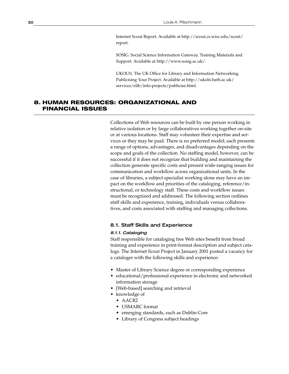Internet Scout Report. Available at http://scout.cs.wisc.edu/scout/ report.

SOSIG. Social Science Information Gateway. Training Materials and Support. Available at http://www.sosig.ac.uk/.

UKOLN. The UK Office for Library and Information Networking. Publicising Your Project. Available at http://ukoln.bath.ac.uk/ services/elib/info-projects/publicise.html.

## **8. HUMAN RESOURCES: ORGANIZATIONAL AND FINANCIAL ISSUES**

Collections of Web resources can be built by one person working in relative isolation or by large collaboratives working together on-site or at various locations. Staff may volunteer their expertise and services or they may be paid. There is no preferred model; each presents a range of options, advantages, and disadvantages depending on the scope and goals of the collection. No staffing model, however, can be successful if it does not recognize that building and maintaining the collection generate specific costs and present wide-ranging issues for communication and workflow across organizational units. In the case of libraries, a subject specialist working alone may have an impact on the workflow and priorities of the cataloging, reference/instructional, or technology staff. These costs and workflow issues must be recognized and addressed. The following section outlines staff skills and experience, training, individuals versus collaboratives, and costs associated with staffing and managing collections.

## 8.1. Staff Skills and Experience

#### 8.1.1. Cataloging

Staff responsible for cataloging free Web sites benefit from broad training and experience in print-format description and subject catalogs. The Internet Scout Project in January 2001 posted a vacancy for a cataloger with the following skills and experience:

- Master of Library Science degree or corresponding experience
- educational/professional experience in electronic and networked information storage
- [Web-based] searching and retrieval
- knowledge of
	- AACR2
		- USMARC format
	- emerging standards, such as Dublin Core
	- Library of Congress subject headings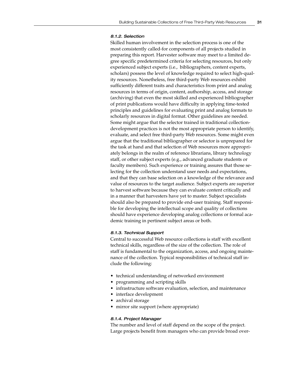## 8.1.2. Selection

Skilled human involvement in the selection process is one of the most consistently called-for components of all projects studied in preparing this report. Harvester software may meet to a limited degree specific predetermined criteria for selecting resources, but only experienced subject experts (i.e., bibliographers, content experts, scholars) possess the level of knowledge required to select high-quality resources. Nonetheless, free third-party Web resources exhibit sufficiently different traits and characteristics from print and analog resources in terms of origin, content, authorship, access, and storage (archiving) that even the most skilled and experienced bibliographer of print publications would have difficulty in applying time-tested principles and guidelines for evaluating print and analog formats to scholarly resources in digital format. Other guidelines are needed. Some might argue that the selector trained in traditional collectiondevelopment practices is not the most appropriate person to identify, evaluate, and select free third-party Web resources. Some might even argue that the traditional bibliographer or selector is unprepared for the task at hand and that selection of Web resources more appropriately belongs in the realm of reference librarians, library technology staff, or other subject experts (e.g., advanced graduate students or faculty members). Such experience or training assures that those selecting for the collection understand user needs and expectations, and that they can base selection on a knowledge of the relevance and value of resources to the target audience. Subject experts are superior to harvest software because they can evaluate content critically and in a manner that harvesters have yet to master. Subject specialists should also be prepared to provide end-user training. Staff responsible for developing the intellectual scope and quality of collections should have experience developing analog collections or formal academic training in pertinent subject areas or both.

#### 8.1.3. Technical Support

Central to successful Web resource collections is staff with excellent technical skills, regardless of the size of the collection. The role of staff is fundamental to the organization, access, and ongoing maintenance of the collection. Typical responsibilities of technical staff include the following:

- technical understanding of networked environment
- programming and scripting skills
- infrastructure software evaluation, selection, and maintenance
- interface development
- archival storage
- mirror site support (where appropriate)

#### 8.1.4. Project Manager

The number and level of staff depend on the scope of the project. Large projects benefit from managers who can provide broad over-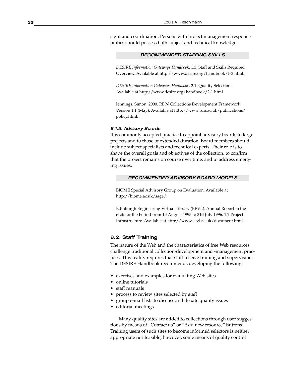sight and coordination. Persons with project management responsibilities should possess both subject and technical knowledge.

#### RECOMMENDED STAFFING SKILLS

*DESIRE Information Gateways Handbook*. 1.3. Staff and Skills Required Overview. Available at http://www.desire.org/handbook/1-3.html.

*DESIRE Information Gateways Handbook*. 2.1. Quality Selection. Available at http://www.desire.org/handbook/2-1.html.

Jennings, Simon. 2000. RDN Collections Development Framework. Version 1.1 (May). Available at http://www.rdn.ac.uk/publications/ policy.html.

#### 8.1.5. Advisory Boards

It is commonly accepted practice to appoint advisory boards to large projects and to those of extended duration. Board members should include subject specialists and technical experts. Their role is to shape the overall goals and objectives of the collection, to confirm that the project remains on course over time, and to address emerging issues.

#### RECOMMENDED ADVISORY BOARD MODELS

BIOME Special Advisory Group on Evaluation. Available at http://biome.ac.uk/sage/.

Edinburgh Engineering Virtual Library (EEVL). Annual Report to the eLib for the Period from 1st August 1995 to 31st July 1996. 1.2 Project Infrastructure. Available at http://www.eevl.ac.uk/document.html.

## 8.2. Staff Training

The nature of the Web and the characteristics of free Web resources challenge traditional collection-development and -management practices. This reality requires that staff receive training and supervision. The DESIRE Handbook recommends developing the following:

- exercises and examples for evaluating Web sites
- online tutorials
- staff manuals
- process to review sites selected by staff
- group e-mail lists to discuss and debate quality issues
- editorial meetings

Many quality sites are added to collections through user suggestions by means of "Contact us" or "Add new resource" buttons. Training users of such sites to become informed selectors is neither appropriate nor feasible; however, some means of quality control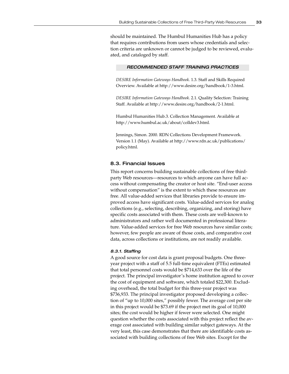should be maintained. The Humbul Humanities Hub has a policy that requires contributions from users whose credentials and selection criteria are unknown or cannot be judged to be reviewed, evaluated, and cataloged by staff.

#### RECOMMENDED STAFF TRAINING PRACTICES

*DESIRE Information Gateways Handbook*. 1.3. Staff and Skills Required Overview. Available at http://www.desire.org/handbook/1-3.html.

*DESIRE Information Gateways Handbook*. 2.1. Quality Selection: Training Staff. Available at http://www.desire.org/handbook/2-1.html.

Humbul Humanities Hub.3. Collection Management. Available at http://www.humbul.ac.uk/about/colldev3.html.

Jennings, Simon. 2000. RDN Collections Development Framework. Version 1.1 (May). Available at http://www.rdn.ac.uk/publications/ policy.html.

#### 8.3. Financial Issues

This report concerns building sustainable collections of free thirdparty Web resources—resources to which anyone can have full access without compensating the creator or host site. "End-user access without compensation" is the extent to which these resources are free. All value-added services that libraries provide to ensure improved access have significant costs. Value-added services for analog collections (e.g., selecting, describing, organizing, and storing) have specific costs associated with them. These costs are well-known to administrators and rather well documented in professional literature. Value-added services for free Web resources have similar costs; however, few people are aware of those costs, and comparative cost data, across collections or institutions, are not readily available.

#### 8.3.1. Staffing

A good source for cost data is grant proposal budgets. One threeyear project with a staff of 5.5 full-time equivalent (FTEs) estimated that total personnel costs would be \$714,633 over the life of the project. The principal investigator's home institution agreed to cover the cost of equipment and software, which totaled \$22,300. Excluding overhead, the total budget for this three-year project was \$736,933. The principal investigator proposed developing a collection of "up to 10,000 sites," possibly fewer. The average cost per site in this project would be \$73.69 if the project met its goal of 10,000 sites; the cost would be higher if fewer were selected. One might question whether the costs associated with this project reflect the average cost associated with building similar subject gateways. At the very least, this case demonstrates that there are identifiable costs associated with building collections of free Web sites. Except for the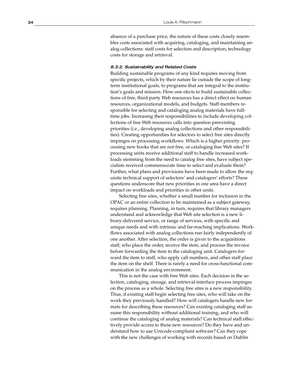absence of a purchase price, the nature of these costs closely resembles costs associated with acquiring, cataloging, and maintaining analog collections: staff costs for selection and description; technology costs for storage and retrieval.

#### 8.3.2. Sustainability and Related Costs

Building sustainable programs of any kind requires moving from specific projects, which by their nature lie outside the scope of longterm institutional goals, to programs that are integral to the institution's goals and mission. How one elects to build sustainable collections of free, third-party Web resources has a direct effect on human resources, organizational models, and budgets. Staff members responsible for selecting and cataloging analog materials have fulltime jobs. Increasing their responsibilities to include developing collections of free Web resources calls into question preexisting priorities (i.e., developing analog collections and other responsibilities). Creating opportunities for selectors to select free sites directly impinges on processing workflows. Which is a higher priority: processing new books that are not free, or cataloging free Web sites? If processing units receive additional staff to handle increased workloads stemming from the need to catalog free sites, have subject specialists received commensurate time to select and evaluate them? Further, what plans and provisions have been made to allow the requisite technical support of selectors' and catalogers' efforts? These questions underscore that new priorities in one area have a direct impact on workloads and priorities in other units.

Selecting free sites, whether a small number for inclusion in the OPAC or an entire collection to be maintained as a subject gateway, requires planning. Planning, in turn, requires that library managers understand and acknowledge that Web site selection is a new library-delivered service, or range of services, with specific and unique needs and with intrinsic and far-reaching implications. Workflows associated with analog collections run fairly independently of one another. After selection, the order is given to the acquisitions staff, who place the order, receive the item, and process the invoice before forwarding the item to the cataloging unit. Catalogers forward the item to staff, who apply call numbers, and other staff place the item on the shelf. There is rarely a need for cross-functional communication in the analog environment.

This is not the case with free Web sites. Each decision in the selection, cataloging, storage, and retrieval-interface process impinges on the process as a whole. Selecting free sites is a new responsibility. Thus, if existing staff begin selecting free sites, who will take on the work they previously handled? How will catalogers handle new formats for describing these resources? Can existing cataloging staff assume this responsibility without additional training, and who will continue the cataloging of analog materials? Can technical staff effectively provide access to these new resources? Do they have and understand how to use Unicode-compliant software? Can they cope with the new challenges of working with records based on Dublin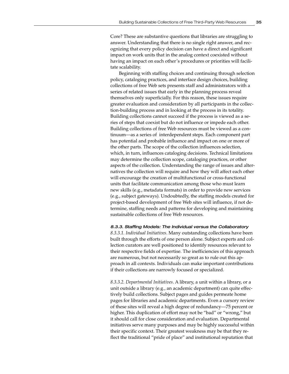Core? These are substantive questions that libraries are struggling to answer. Understanding that there is no single right answer, and recognizing that every policy decision can have a direct and significant impact on work units that in the analog context coexisted without having an impact on each other's procedures or priorities will facilitate scalability.

Beginning with staffing choices and continuing through selection policy, cataloging practices, and interface design choices, building collections of free Web sets presents staff and administrators with a series of related issues that early in the planning process reveal themselves only superficially. For this reason, these issues require greater evaluation and consideration by all participants in the collection-building process and in looking at the process in its totality. Building collections cannot succeed if the process is viewed as a series of steps that coexist but do not influence or impede each other. Building collections of free Web resources must be viewed as a continuum—as a series of interdependent steps. Each component part has potential and probable influence and impact on one or more of the other parts. The scope of the collection influences selection, which, in turn, influences cataloging decisions. Technical limitations may determine the collection scope, cataloging practices, or other aspects of the collection. Understanding the range of issues and alternatives the collection will require and how they will affect each other will encourage the creation of multifunctional or cross-functional units that facilitate communication among those who must learn new skills (e.g., metadata formats) in order to provide new services (e.g., subject gateways). Undoubtedly, the staffing models created for project-based development of free Web sites will influence, if not determine, staffing needs and patterns for developing and maintaining sustainable collections of free Web resources.

8.3.3. Staffing Models: The Individual versus the Collaboratory *8.3.3.1. Individual Initiatives*. Many outstanding collections have been built through the efforts of one person alone. Subject experts and collection curators are well positioned to identify resources relevant to their respective fields of expertise. The inefficiencies of this approach are numerous, but not necessarily so great as to rule out this approach in all contexts. Individuals can make important contributions if their collections are narrowly focused or specialized.

*8.3.3.2. Departmental Initiatives*. A library, a unit within a library, or a unit outside a library (e.g., an academic department) can quite effectively build collections. Subject pages and guides permeate home pages for libraries and academic departments. Even a cursory review of these sites will reveal a high degree of redundancy—75 percent or higher. This duplication of effort may not be "bad" or "wrong," but it should call for close consideration and evaluation. Departmental initiatives serve many purposes and may be highly successful within their specific context. Their greatest weakness may be that they reflect the traditional "pride of place" and institutional reputation that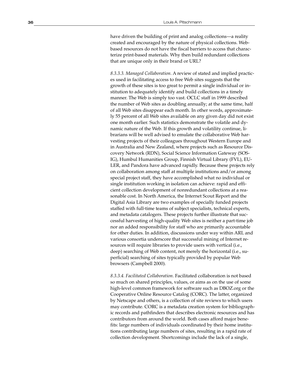have driven the building of print and analog collections—a reality created and encouraged by the nature of physical collections. Webbased resources do not have the fiscal barriers to access that characterize print-based materials. Why then build redundant collections that are unique only in their brand or URL?

*8.3.3.3. Managed Collaboration*. A review of stated and implied practices used in facilitating access to free Web sites suggests that the growth of these sites is too great to permit a single individual or institution to adequately identify and build collections in a timely manner. The Web is simply too vast. OCLC staff in 1999 described the number of Web sites as doubling annually; at the same time, half of all Web sites disappear each month. In other words, approximately 55 percent of all Web sites available on any given day did not exist one month earlier. Such statistics demonstrate the volatile and dynamic nature of the Web. If this growth and volatility continue, librarians will be well advised to emulate the collaborative Web harvesting projects of their colleagues throughout Western Europe and in Australia and New Zealand, where projects such as Resource Discovery Network (RDN), Social Science Information Gateway (SOS-IG), Humbul Humanities Group, Finnish Virtual Library (FVL), EU-LER, and Pandora have advanced rapidly. Because these projects rely on collaboration among staff at multiple institutions and/or among special project staff, they have accomplished what no individual or single institution working in isolation can achieve: rapid and efficient collection development of nonredundant collections at a reasonable cost. In North America, the Internet Scout Report and the Digital Asia Library are two examples of specially funded projects staffed with full-time teams of subject specialists, technical experts, and metadata catalogers. These projects further illustrate that successful harvesting of high-quality Web sites is neither a part-time job nor an added responsibility for staff who are primarily accountable for other duties. In addition, discussions under way within ARL and various consortia underscore that successful mining of Internet resources will require libraries to provide users with vertical (i.e., deep) searching of Web content, not merely the horizontal (i.e., superficial) searching of sites typically provided by popular Web browsers (Campbell 2000).

*8.3.3.4. Facilitated Collaboration*. Facilitated collaboration is not based so much on shared principles, values, or aims as on the use of some high-level common framework for software such as DBOZ.org or the Cooperative Online Resource Catalog (CORC). The latter, organized by Netscape and others, is a collection of site reviews to which users may contribute. CORC is a metadata creation system for bibliographic records and pathfinders that describes electronic resources and has contributors from around the world. Both cases afford major benefits: large numbers of individuals coordinated by their home institutions contributing large numbers of sites, resulting in a rapid rate of collection development. Shortcomings include the lack of a single,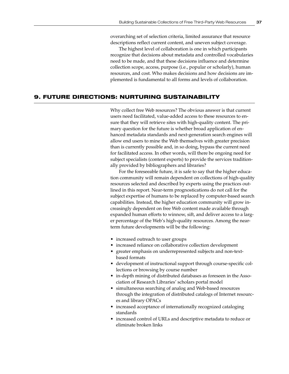overarching set of selection criteria, limited assurance that resource descriptions reflect current content, and uneven subject coverage.

The highest level of collaboration is one in which participants recognize that decisions about metadata and controlled vocabularies need to be made, and that these decisions influence and determine collection scope, access, purpose (i.e., popular or scholarly), human resources, and cost. Who makes decisions and how decisions are implemented is fundamental to all forms and levels of collaboration.

## **9. FUTURE DIRECTIONS: NURTURING SUSTAINABILITY**

Why collect free Web resources? The obvious answer is that current users need facilitated, value-added access to these resources to ensure that they will retrieve sites with high-quality content. The primary question for the future is whether broad application of enhanced metadata standards and next-generation search engines will allow end users to mine the Web themselves with greater precision than is currently possible and, in so doing, bypass the current need for facilitated access. In other words, will there be ongoing need for subject specialists (content experts) to provide the services traditionally provided by bibliographers and libraries?

For the foreseeable future, it is safe to say that the higher education community will remain dependent on collections of high-quality resources selected and described by experts using the practices outlined in this report. Near-term prognostications do not call for the subject expertise of humans to be replaced by computer-based search capabilities. Instead, the higher education community will grow increasingly dependent on free Web content made available through expanded human efforts to winnow, sift, and deliver access to a larger percentage of the Web's high-quality resources. Among the nearterm future developments will be the following:

- increased outreach to user groups
- increased reliance on collaborative collection development
- greater emphasis on underrepresented subjects and non-textbased formats
- development of instructional support through course-specific collections or browsing by course number
- in-depth mining of distributed databases as foreseen in the Association of Research Libraries' scholars portal model
- simultaneous searching of analog and Web-based resources through the integration of distributed catalogs of Internet resources and library OPACs
- increased acceptance of internationally recognized cataloging standards
- increased control of URLs and descriptive metadata to reduce or eliminate broken links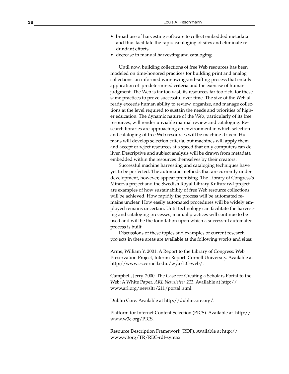- broad use of harvesting software to collect embedded metadata and thus facilitate the rapid cataloging of sites and eliminate redundant efforts
- decrease in manual harvesting and cataloging

Until now, building collections of free Web resources has been modeled on time-honored practices for building print and analog collections: an informed winnowing-and-sifting process that entails application of predetermined criteria and the exercise of human judgment. The Web is far too vast, its resources far too rich, for these same practices to prove successful over time. The size of the Web already exceeds human ability to review, organize, and manage collections at the level required to sustain the needs and priorities of higher education. The dynamic nature of the Web, particularly of its free resources, will render unviable manual review and cataloging. Research libraries are approaching an environment in which selection and cataloging of free Web resources will be machine-driven. Humans will develop selection criteria, but machines will apply them and accept or reject resources at a speed that only computers can deliver. Descriptive and subject analysis will be drawn from metadata embedded within the resources themselves by their creators.

Successful machine harvesting and cataloging techniques have yet to be perfected. The automatic methods that are currently under development, however, appear promising. The Library of Congress's Minerva project and the Swedish Royal Library Kulturarw3 project are examples of how sustainability of free Web resource collections will be achieved. How rapidly the process will be automated remains unclear. How easily automated procedures will be widely employed remains uncertain. Until technology can facilitate the harvesting and cataloging processes, manual practices will continue to be used and will be the foundation upon which a successful automated process is built.

Discussions of these topics and examples of current research projects in these areas are available at the following works and sites:

Arms, William Y. 2001. A Report to the Library of Congress: Web Preservation Project, Interim Report. Cornell University. Available at http://www.cs.cornell.edu./wya/LC-web/.

Campbell, Jerry. 2000. The Case for Creating a Scholars Portal to the Web: A White Paper. *ARL Newsletter 211*. Available at http:// www.arl.org/newsltr/211/portal.html.

Dublin Core. Available at http://dublincore.org/.

Platform for Internet Content Selection (PICS). Available at http:// www.w3c.org/PICS.

Resource Description Framework (RDF). Available at http:// www.w3org/TR/REC-rdf-syntax.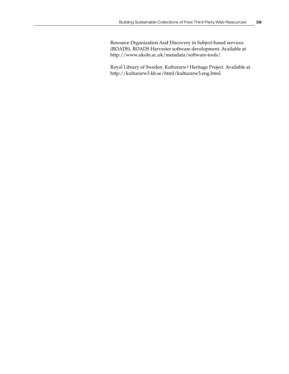Resource Organization And Discovery in Subject-based services (ROADS). ROADS Harvester software development. Available at http://www.ukoln.ac.uk/metadata/software-tools/.

Royal Library of Sweden. Kulturarw3 Heritage Project. Available at http://kulturarw3.kb.se/html/kulturarw3.eng.html.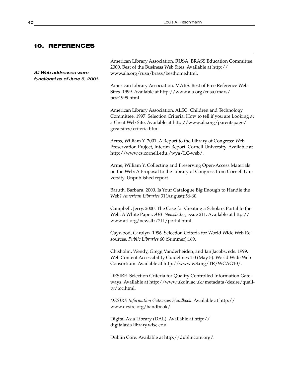## **10. REFERENCES**

All Web addresses were functional as of June 5, 2001.

American Library Association. RUSA. BRASS Education Committee. 2000. Best of the Business Web Sites. Available at http:// www.ala.org/rusa/brass/besthome.html.

American Library Association. MARS. Best of Free Reference Web Sites. 1999. Available at http://www.ala.org/rusa/mars/ best1999.html.

American Library Association. ALSC. Children and Technology Committee. 1997. Selection Criteria: How to tell if you are Looking at a Great Web Site. Available at http://www.ala.org/parentspage/ greatsites/criteria.html.

Arms, William Y. 2001. A Report to the Library of Congress: Web Preservation Project, Interim Report. Cornell University. Available at http://www.cs.cornell.edu./wya/LC-web/.

Arms, William Y. Collecting and Preserving Open-Access Materials on the Web: A Proposal to the Library of Congress from Cornell University. Unpublished report.

Baruth, Barbara. 2000. Is Your Catalogue Big Enough to Handle the Web? *American Libraries* 31(August):56-60.

Campbell, Jerry. 2000. The Case for Creating a Scholars Portal to the Web: A White Paper. *ARL Newsletter*, issue 211. Available at http:// www.arl.org/newsltr/211/portal.html.

Caywood, Carolyn. 1996. Selection Criteria for World Wide Web Resources. *Public Libraries* 60 (Summer):169.

Chisholm, Wendy, Gregg Vanderheiden, and Ian Jacobs, eds. 1999. Web Content Accessibility Guidelines 1.0 (May 5). World Wide Web Consortium. Available at http://www.w3.org/TR/WCAG10/.

DESIRE. Selection Criteria for Quality Controlled Information Gateways. Available at http://www.ukoln.ac.uk/metadata/desire/quality/toc.html.

*DESIRE Information Gateways Handbook.* Available at http:// www.desire.org/handbook/.

Digital Asia Library (DAL). Available at http:// digitalasia.library.wisc.edu.

Dublin Core. Available at http://dublincore.org/.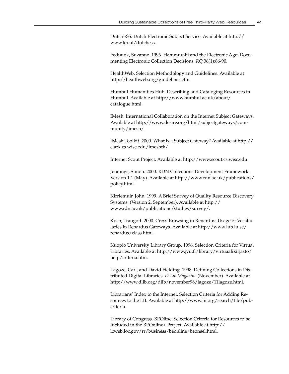DutchESS. Dutch Electronic Subject Service. Available at http:// www.kb.nl/dutchess.

Fedunok, Suzanne. 1996. Hammurabi and the Electronic Age: Documenting Electronic Collection Decisions. *RQ* 36(1):86-90.

HealthWeb. Selection Methodology and Guidelines. Available at http://healthweb.org/guidelines.cfm.

Humbul Humanities Hub. Describing and Cataloging Resources in Humbul. Available at http://www.humbul.ac.uk/about/ catalogue.html.

IMesh: International Collaboration on the Internet Subject Gateways. Available at http://www.desire.org/html/subjectgateways/community/imesh/.

IMesh Toolkit. 2000. What is a Subject Gateway? Available at http:// clark.cs.wisc.edu/imeshtk/.

Internet Scout Project. Available at http://www.scout.cs.wisc.edu.

Jennings, Simon. 2000. RDN Collections Development Framework. Version 1.1 (May). Available at http://www.rdn.ac.uk/publications/ policy.html.

Kirriemuir, John. 1999. A Brief Survey of Quality Resource Discovery Systems. (Version 2, September). Available at http:// www.rdn.ac.uk/publications/studies/survey/.

Koch, Traugott. 2000. Cross-Browsing in Renardus: Usage of Vocabularies in Renardus Gateways. Available at http://www.lub.lu.se/ renardus/class.html.

Kuopio University Library Group. 1996. Selection Criteria for Virtual Libraries. Available at http://www.jyu.fi/library/virtuaalikirjasto/ help/criteria.htm.

Lagoze, Carl, and David Fielding. 1998. Defining Collections in Distributed Digital Libraries. *D-Lib Magazine* (November). Available at http://www.dlib.org/dlib/november98/lagoze/11lagoze.html.

Librarians' Index to the Internet. Selection Criteria for Adding Resources to the LII. Available at http://www.lii.org/search/file/pubcriteria.

Library of Congress. BEOline: Selection Criteria for Resources to be Included in the BEOnline+ Project. Available at http:// lcweb.loc.gov/rr/business/beonline/beonsel.html.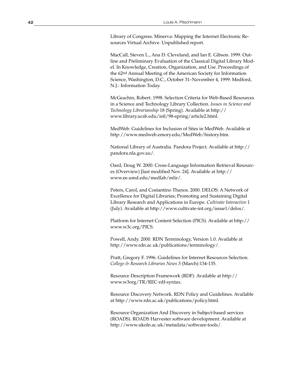Library of Congress. Minerva: Mapping the Internet Electronic Resources Virtual Archive. Unpublished report.

MacCall, Steven L., Ana D. Cleveland, and Ian E. Gibson. 1999. Outline and Preliminary Evaluation of the Classical Digital Library Model. In Knowledge, Creation, Organization, and Use. Proceedings of the 62nd Annual Meeting of the American Society for Information Science, Washington, D.C., October 31–November 4, 1999: Medford, N.J.: Information Today.

McGeachin, Robert. 1998. Selection Criteria for Web-Based Resources in a Science and Technology Library Collection. *Issues in Science and Technology Librarianship* 18 (Spring). Available at http:// www.library.ucsb.edu/istl/98-spring/article2.html.

MedWeb. Guidelines for Inclusion of Sites in MedWeb. Available at http://www.medweb.emory.edu/MedWeb/history.htm.

National Library of Australia. Pandora Project. Available at http:// pandora.nla.gov.au/.

Oard, Doug W. 2000. Cross-Language Information Retrieval Resources (Overview) [last modified Nov. 24]. Available at http:// www.ee.umd.edu/medlab/mlir/.

Peters, Carol, and Costantino Thanos. 2000. DELOS: A Network of Excellence for Digital Libraries; Promoting and Sustaining Digital Library Research and Applications in Europe. *Cultivate Interactive* 1 (July). Available at http://www.cultivate-int.org/issue1/delos/.

Platform for Internet Content Selection (PICS). Available at http:// www.w3c.org/PICS.

Powell, Andy. 2000. RDN Terminology, Version 1.0. Available at http://www.rdn.ac.uk/publications/terminology/.

Pratt, Gregory F. 1996. Guidelines for Internet Resources Selection. *College & Research Libraries News* 3 (March):134-135.

Resource Description Framework (RDF). Available at http:// www.w3org/TR/REC-rdf-syntax.

Resource Discovery Network. RDN Policy and Guidelines. Available at http://www.rdn.ac.uk/publications/policy.html.

Resource Organization And Discovery in Subject-based services (ROADS). ROADS Harvester software development. Available at http://www.ukoln.ac.uk/metadata/software-tools/.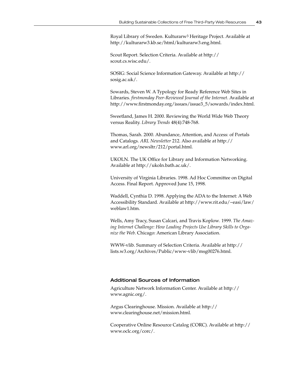Royal Library of Sweden. Kulturarw3 Heritage Project. Available at http://kulturarw3.kb.se/html/kulturarw3.eng.html.

Scout Report. Selection Criteria. Available at http:// scout.cs.wisc.edu/.

SOSIG: Social Science Information Gateway. Available at http:// sosig.ac.uk/.

Sowards, Steven W. A Typology for Ready Reference Web Sites in Libraries. *firstmonday Peer-Reviewed Journal of the Internet*. Available at http://www.firstmonday.org/issues/issue3\_5/sowards/index.html.

Sweetland, James H. 2000. Reviewing the World Wide Web Theory versus Reality. *Library Trends* 48(4):748-768.

Thomas, Sarah. 2000. Abundance, Attention, and Access: of Portals and Catalogs. *ARL Newsletter* 212. Also available at http:// www.arl.org/newsltr/212/portal.html.

UKOLN. The UK Office for Library and Information Networking. Available at http://ukoln.bath.ac.uk/.

University of Virginia Libraries. 1998. Ad Hoc Committee on Digital Access. Final Report. Approved June 15, 1998.

Waddell, Cynthia D. 1998. Applying the ADA to the Internet: A Web Accessibility Standard. Available at http://www.rit.edu/~easi/law/ weblaw1.htm.

Wells, Amy Tracy, Susan Calcari, and Travis Koplow*.* 1999. *The Amazing Internet Challenge: How Leading Projects Use Library Skills to Organize the Web*. Chicago: American Library Association.

WWW-vlib. Summary of Selection Criteria. Available at http:// lists.w3.org/Archives/Public/www-vlib/msg00276.html.

#### Additional Sources of Information

Agriculture Network Information Center. Available at http:// www.agnic.org/.

Argus Clearinghouse. Mission. Available at http:// www.clearinghouse.net/mission.html.

Cooperative Online Resource Catalog (CORC). Available at http:// www.oclc.org/corc/.